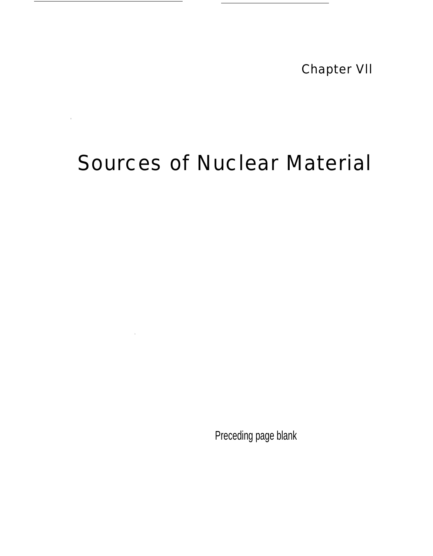Chapter Vll

# Sources of Nuclear Material

 $\overline{\phantom{0}}$ 

 $\bar{1}$ 

Preceding page blank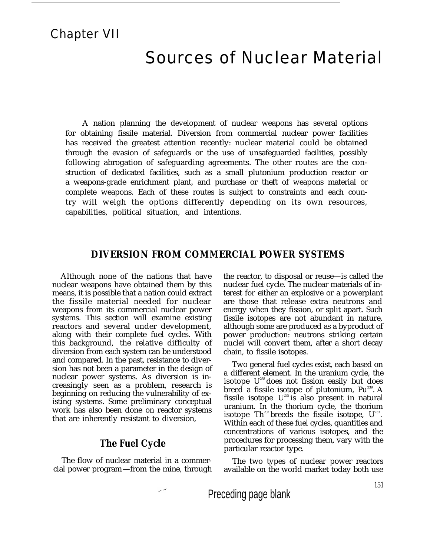## Chapter VII

## Sources of Nuclear Material

A nation planning the development of nuclear weapons has several options for obtaining fissile material. Diversion from commercial nuclear power facilities has received the greatest attention recently: nuclear material could be obtained through the evasion of safeguards or the use of unsafeguarded facilities, possibly following abrogation of safeguarding agreements. The other routes are the construction of dedicated facilities, such as a small plutonium production reactor or a weapons-grade enrichment plant, and purchase or theft of weapons material or complete weapons. Each of these routes is subject to constraints and each country will weigh the options differently depending on its own resources, capabilities, political situation, and intentions.

#### **DIVERSION FROM COMMERCIAL POWER SYSTEMS**

Although none of the nations that have nuclear weapons have obtained them by this means, it is possible that a nation could extract the fissile material needed for nuclear weapons from its commercial nuclear power systems. This section will examine existing reactors and several under development, along with their complete fuel cycles. With this background, the relative difficulty of diversion from each system can be understood and compared. In the past, resistance to diversion has not been a parameter in the design of nuclear power systems. As diversion is increasingly seen as a problem, research is beginning on reducing the vulnerability of existing systems. Some preliminary conceptual work has also been done on reactor systems that are inherently resistant to diversion,

## **The Fuel Cycle**

The flow of nuclear material in a commercial power program—from the mine, through the reactor, to disposal or reuse—is called the nuclear fuel cycle. The nuclear materials of interest for either an explosive or a powerplant are those that release extra neutrons and energy when they fission, or split apart. Such fissile isotopes are not abundant in nature, although some are produced as a byproduct of power production: neutrons striking certain nuclei will convert them, after a short decay chain, to fissile isotopes.

Two general fuel cycles exist, each based on a different element. In the uranium cycle, the isotope  $U^{238}$  does not fission easily but does breed a fissile isotope of plutonium, Pu<sup>239</sup>. A fissile isotope  $U^{235}$  is also present in natural uranium. In the thorium cycle, the thorium isotope  $\text{Th}^{\text{232}}$  breeds the fissile isotope,  $\text{U}^{\text{233}}$ . Within each of these fuel cycles, quantities and concentrations of various isotopes, and the procedures for processing them, vary with the particular reactor type.

The two types of nuclear power reactors available on the world market today both use

Preceding page blank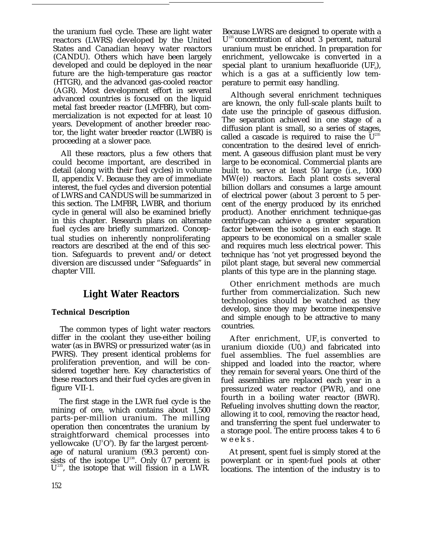the uranium fuel cycle. These are light water reactors (LWRS) developed by the United States and Canadian heavy water reactors (CANDU). Others which have been largely developed and could be deployed in the near future are the high-temperature gas reactor (HTGR), and the advanced gas-cooled reactor (AGR). Most development effort in several advanced countries is focused on the liquid metal fast breeder reactor (LMFBR), but commercialization is not expected for at least 10 years. Development of another breeder reactor, the light water breeder reactor (LWBR) is proceeding at a slower pace.

All these reactors, plus a few others that could become important, are described in detail (along with their fuel cycles) in volume II, appendix V. Because they are of immediate interest, the fuel cycles and diversion potential of LWRS and CANDUS will be summarized in this section. The LMFBR, LWBR, and thorium cycle in general will also be examined briefly in this chapter. Research plans on alternate fuel cycles are briefly summarized. Conceptual studies on inherently nonproliferating reactors are described at the end of this section. Safeguards to prevent and/or detect diversion are discussed under "Safeguards" in chapter VIII.

## **Light Water Reactors**

#### **Technical Description**

The common types of light water reactors differ in the coolant they use-either boiling water (as in BWRS) or pressurized water (as in PWRS). They present identical problems for proliferation prevention, and will be considered together here. Key characteristics of these reactors and their fuel cycles are given in figure VII-1.

The first stage in the LWR fuel cycle is the mining of ore, which contains about 1,500 parts-per-million uranium. The milling operation then concentrates the uranium by straightforward chemical processes into yellowcake  $(U^{\text{s}}O^{\text{s}})$ . By far the largest percentage of natural uranium (99.3 percent) consists of the isotope  $U^{238}$ . Only 0.7 percent is U <sup>235</sup>, the isotope that will fission in a LWR.

Because LWRS are designed to operate with a U<sup>235</sup> concentration of about 3 percent, natural uranium must be enriched. In preparation for enrichment, yellowcake is converted in a special plant to uranium hexafluoride (UF $_{\circ}$ ), which is a gas at a sufficiently low temperature to permit easy handling.

Although several enrichment techniques are known, the only full-scale plants built to date use the principle of gaseous diffusion. The separation achieved in one stage of a diffusion plant is small, so a series of stages, called a cascade is required to raise the  $\breve{U}^{235}$ concentration to the desired level of enrichment. A gaseous diffusion plant must be very large to be economical. Commercial plants are built to. serve at least 50 large (i.e., 1000 MW(e)) reactors. Each plant costs several billion dollars and consumes a large amount of electrical power (about 3 percent to 5 percent of the energy produced by its enriched product). Another enrichment technique-gas centrifuge-can achieve a greater separation factor between the isotopes in each stage. It appears to be economical on a smaller scale and requires much less electrical power. This technique has 'not yet progressed beyond the pilot plant stage, but several new commercial plants of this type are in the planning stage.

Other enrichment methods are much further from commercialization. Such new technologies should be watched as they develop, since they may become inexpensive and simple enough to be attractive to many countries.

After enrichment,  $UF<sub>6</sub>$  is converted to uranium dioxide  $(\mathsf{U0}_2)$  and fabricated into fuel assemblies. The fuel assemblies are shipped and loaded into the reactor, where they remain for several years. One third of the fuel assemblies are replaced each year in a pressurized water reactor (PWR), and one fourth in a boiling water reactor (BWR). Refueling involves shutting down the reactor, allowing it to cool, removing the reactor head, and transferring the spent fuel underwater to a storage pool. The entire process takes 4 to 6 weeks.

At present, spent fuel is simply stored at the powerplant or in spent-fuel pools at other locations. The intention of the industry is to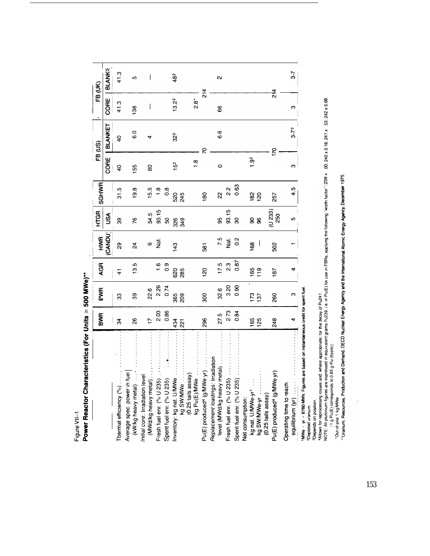Figure VII-1

Power Reactor Characteristics (For Units ≥ 500 MWe)\*\*

 $\overline{\phantom{a}}$ 

|                                                                                                          | BWR            | PWR               | <b>AGR</b>     | HWA             | <b>HTGR</b>        | <b>SGHWR</b>    |                 | FB (US)         |                   | FB (UK)       |
|----------------------------------------------------------------------------------------------------------|----------------|-------------------|----------------|-----------------|--------------------|-----------------|-----------------|-----------------|-------------------|---------------|
|                                                                                                          |                |                   |                | <b>CANDU</b>    | USA                |                 | CORE            | BLANKET         | CORE              | <b>BLANKE</b> |
| Thermal efficiency (%).                                                                                  | 34             | g                 | ᠼ              | 89              | ల్లె               | 31.5            | $\overline{a}$  | $\frac{1}{2}$   | 41.3              | 41.3          |
| Average spec. power in fuel<br>(kW/kg heavy metal)                                                       | 26             | నె                | 13.5           | $\overline{2}$  | 76                 | 19.8            | 155             | C<br>0          | 138               | မာ            |
| Initial core: Irradiation leve<br>(MWd/kg heavy metal).                                                  | $\overline{1}$ | 22.6              |                | $\mathbf{Q}$    | 54.5               | 15.5            | 80              |                 |                   |               |
| Fresh fuel enr. (% U 235)                                                                                | 2.03           | 2.26              | $\overline{6}$ | <u>zi</u>       | 93.15              | $\frac{8}{1}$   |                 |                 |                   |               |
| Spent fuel enr. (% U 235)                                                                                | 0.86           | 0.74              | $\frac{9}{2}$  |                 | S,                 | 8.O             |                 |                 |                   |               |
|                                                                                                          | 434            | 365               | 620            | 143             |                    | 520             | 15 <sup>2</sup> | 32 <sup>2</sup> | 13.2 <sup>2</sup> | 482           |
|                                                                                                          | $\overline{2}$ | 209               | 285            |                 | 326                | 245             |                 |                 |                   |               |
| hrventory: kg nat. U/MWe<br>Mg SW/MWe<br>(C25 talis assay)<br>Mg Pu(E)/MWe                               |                |                   |                |                 |                    |                 | $\frac{8}{1}$   |                 | $28^*$            |               |
| Pu(E) produced <sup>4</sup> (g/MWe yr)                                                                   | 296            | 900               | 120            | $\overline{58}$ |                    | 80              |                 | 5               | $\frac{4}{5}$     |               |
| Replacement loadings: Irradiation                                                                        |                |                   |                |                 |                    |                 |                 |                 |                   |               |
| level (MWd/kg heavy metal)                                                                               | 27.5           | 32.6              | 17.5           | 7.5             | 99                 | ನಿ              | $\circ$         | 6.6             | 66                | 2             |
| Fresh fuel enr. (% U 235)                                                                                | 2.73           | 3.20              | 2.3            | Nat.            | 93.15              | 2.2             |                 |                 |                   |               |
| Spent fuel enr. (% U 235)                                                                                | 0.84           | 0.90              | 0.87           | $\frac{2}{3}$   | 30                 | 0.63            |                 |                 |                   |               |
| Net consumption:                                                                                         |                |                   |                |                 |                    |                 |                 |                 |                   |               |
|                                                                                                          | 165            | $\frac{173}{137}$ | $165$<br>119   | 89              | 8                  | $\frac{82}{20}$ | $\frac{3}{2}$   |                 |                   |               |
| kg nat. U/MWe-yr <sup>1</sup><br>kg SW/MWe-yr<br>(0.25 tails assay)                                      |                |                   |                |                 | 8                  |                 |                 |                 |                   |               |
| Pu(E) produced <sup>4</sup> (g/MWe yr)                                                                   | 248            | 260               | 187            | 502             | $(0.233)$<br>$250$ | 257             |                 | $\overline{2}$  | $\frac{4}{5}$     |               |
| Operating time to reach                                                                                  |                |                   |                |                 |                    |                 |                 |                 |                   |               |
| equilibrium (yr)                                                                                         | 4              | ო                 |                |                 | မာ                 | ဖာ့<br>4        | 3               | $3 - 73$        | ო                 | 3.7           |
| are based on instantaneous credit for spent fuel<br>$MWe - yr = 8760$ MWh. Figures<br>2Depleted uranium. |                |                   |                |                 |                    |                 |                 |                 |                   |               |

<sup>3</sup>Depends on position.<br>'Allows for reprocessing losses and, where appropriate. for the decay of Pu241.<br>NOTE: All plutonium figures are expressed in equivalent grams Pu239, i.e. in Pu(E) for use in FBRs, applying the fol

 $\ddot{\phantom{0}}$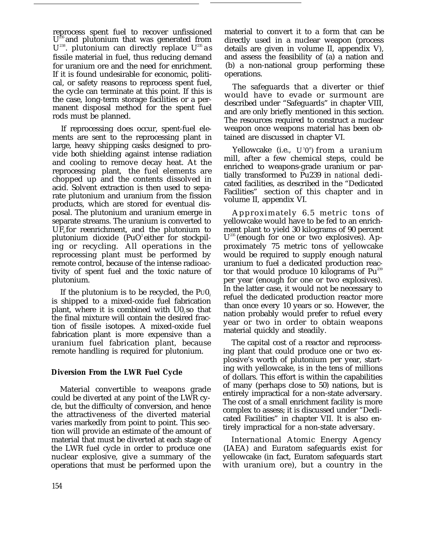reprocess spent fuel to recover unfissioned  $\mathbf{U}^z$ and plutonium that was generated from  $U^{238}$ . plutonium can directly replace  $U^{235}$  as fissile material in fuel, thus reducing demand for uranium ore and the need for enrichment. If it is found undesirable for economic, political, or safety reasons to reprocess spent fuel, the cycle can terminate at this point. If this is the case, long-term storage facilities or a permanent disposal method for the spent fuel rods must be planned.

If reprocessing does occur, spent-fuel elements are sent to the reprocessing plant in large, heavy shipping casks designed to provide both shielding against intense radiation and cooling to remove decay heat. At the reprocessing plant, the fuel elements are chopped up and the contents dissolved in acid. Solvent extraction is then used to separate plutonium and uranium from the fission products, which are stored for eventual disposal. The plutonium and uranium emerge in separate streams. The uranium is converted to  $UF<sub>a</sub>$  for reenrichment, and the plutonium to plutonium dioxide  $(PuO^2$  either for stockpiling or recycling. All operations in the reprocessing plant must be performed by remote control, because of the intense radioactivity of spent fuel and the toxic nature of plutonium.

If the plutonium is to be recycled, the  $P\cup 0$ , is shipped to a mixed-oxide fuel fabrication plant, where it is combined with  $U_0$  so that the final mixture will contain the desired fraction of fissile isotopes. A mixed-oxide fuel fabrication plant is more expensive than a uranium fuel fabrication plant, because remote handling is required for plutonium.

#### **Diversion From the LWR Fuel Cycle**

Material convertible to weapons grade could be diverted at any point of the LWR cycle, but the difficulty of conversion, and hence the attractiveness of the diverted material varies markedly from point to point. This section will provide an estimate of the amount of material that must be diverted at each stage of the LWR fuel cycle in order to produce one nuclear explosive, give a summary of the operations that must be performed upon the

material to convert it to a form that can be directly used in a nuclear weapon (process details are given in volume II, appendix V), and assess the feasibility of (a) a nation and (b) a non-national group performing these operations.

The safeguards that a diverter or thief would have to evade or surmount are described under "Safeguards" in chapter VIII, and are only briefly mentioned in this section. The resources required to construct a nuclear weapon once weapons material has been obtained are discussed in chapter VI.

Yellowcake (i.e., U 3 0 8 ) from a uranium mill, after a few chemical steps, could be enriched to weapons-grade uranium or partially transformed to Pu239 in *national* dedicated facilities, as described in the "Dedicated Facilities" section of this chapter and in volume II, appendix VI.

Approximately 6.5 metric tons of yellowcake would have to be fed to an enrichment plant to yield 30 kilograms of 90 percent U<sup>235</sup> (enough for one or two explosives). Approximately 75 metric tons of yellowcake would be required to supply enough natural uranium to fuel a dedicated production reactor that would produce 10 kilograms of  $Pu^{239}$ per year (enough for one or two explosives). In the latter case, it would not be necessary to refuel the dedicated production reactor more than once every 10 years or so. However, the nation probably would prefer to refuel every year or two in order to obtain weapons material quickly and steadily.

The capital cost of a reactor and reprocessing plant that could produce one or two explosive's worth of plutonium per year, starting with yellowcake, is in the tens of millions of dollars. This effort is within the capabilities of many (perhaps close to 50) nations, but is entirely impractical for a non-state adversary. The cost of a small enrichment facility is more complex to assess; it is discussed under "Dedicated Facilities" in chapter VII. It is also entirely impractical for a non-state adversary.

International Atomic Energy Agency (IAEA) and Euratom safeguards exist for yellowcake (in fact, Euratom safeguards start with uranium ore), but a country in the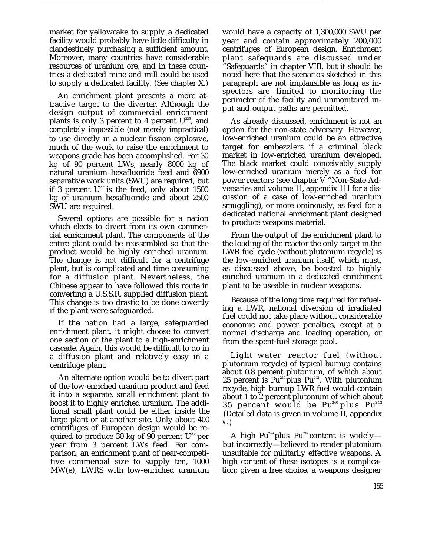market for yellowcake to supply a dedicated facility would probably have little difficulty in clandestinely purchasing a sufficient amount. Moreover, many countries have considerable resources of uranium ore, and in these countries a dedicated mine and mill could be used to supply a dedicated facility. (See chapter X.)

An enrichment plant presents a more attractive target to the diverter. Although the design output of commercial enrichment plants is only 3 percent to 4 percent  $U^{235}$ , and completely impossible (not merely impractical) to use directly in a nuclear fission explosive, much of the work to raise the enrichment to weapons grade has been accomplished. For 30 kg of 90 percent LWs, nearly 8000 kg of natural uranium hexafluoride feed and 6900 separative work units (SWU) are required, but if  $\hat{3}$  percent U<sup>235</sup> is the feed, only about 1500 kg of uranium hexafluoride and about 2500 SWU are required.

Several options are possible for a nation which elects to divert from its own commercial enrichment plant. The components of the entire plant could be reassembled so that the product would be highly enriched uranium. The change is not difficult for a centrifuge plant, but is complicated and time consuming for a diffusion plant. Nevertheless, the Chinese appear to have followed this route in converting a U.S.S.R. supplied diffusion plant. This change is too drastic to be done covertly if the plant were safeguarded.

If the nation had a large, safeguarded enrichment plant, it might choose to convert one section of the plant to a high-enrichment cascade. Again, this would be difficult to do in a diffusion plant and relatively easy in a centrifuge plant.

An alternate option would be to divert part of the low-enriched uranium product and feed it into a separate, small enrichment plant to boost it to highly enriched uranium. The additional small plant could be either inside the large plant or at another site. Only about 400 centrifuges of European design would be required to produce 30 kg of 90 percent  $U^{235}$  per year from 3 percent LWs feed. For comparison, an enrichment plant of near-competitive commercial size to supply ten, 1000 MW(e), LWRS with low-enriched uranium

would have a capacity of 1,300,000 SWU per year and contain approximately 200,000 centrifuges of European design. Enrichment plant safeguards are discussed under "Safeguards" in chapter VIII, but it should be noted here that the scenarios sketched in this paragraph are not implausible as long as inspectors are limited to monitoring the perimeter of the facility and unmonitored input and output paths are permitted.

As already discussed, enrichment is not an option for the non-state adversary. However, low-enriched uranium could be an attractive target for embezzlers if a criminal black market in low-enriched uranium developed. The black market could conceivably supply low-enriched uranium merely as a fuel for power reactors (see chapter V "Non-State Adversaries and volume 11, appendix 111 for a discussion of a case of low-enriched uranium smuggling), or more ominously, as feed for a dedicated national enrichment plant designed to produce weapons material.

From the output of the enrichment plant to the loading of the reactor the only target in the LWR fuel cycle (without plutonium recycle) is the low-enriched uranium itself, which must, as discussed above, be boosted to highly enriched uranium in a dedicated enrichment plant to be useable in nuclear weapons.

Because of the long time required for refueling a LWR, national diversion of irradiated fuel could not take place without considerable economic and power penalties, except at a normal discharge and loading operation, or from the spent-fuel storage pool.

Light water reactor fuel (without plutonium recycle) of typical burnup contains about 0.8 percent plutonium, of which about 25 percent is  $Pu^{240}$  plus  $Pu^{242}$ . With plutonium recycle, high burnup LWR fuel would contain about 1 to 2 percent plutonium of which about 35 percent would be Pu $^{\scriptscriptstyle 240}$ plus Pu $^{\scriptscriptstyle 242}$ (Detailed data is given in volume II, appendix v.)

A high Pu<sup>249</sup> plus Pu<sup>242</sup> content is widely but incorrectly—believed to render plutonium unsuitable for militarily effective weapons. A high content of these isotopes is a complication; given a free choice, a weapons designer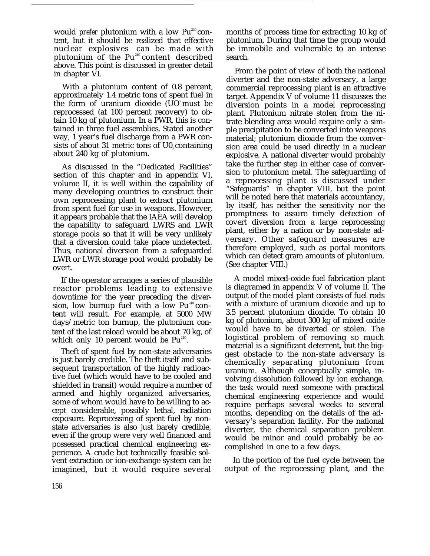would *prefer* plutonium with a low Pu<sup>240</sup> content, but it should be realized that effective nuclear explosives can be made with plutonium of the  $Pu^{240}$  content described above. This point is discussed in greater detail in chapter VI.

With a plutonium content of 0.8 percent, approximately 1.4 metric tons of spent fuel in the form of uranium dioxide  $(UO<sup>2</sup>$  must be reprocessed (at 100 percent recovery) to obtain 10 kg of plutonium. In a PWR, this is contained in three fuel assemblies. Stated another way, 1 year's fuel discharge from a PWR consists of about 31 metric tons of  $U_0$ , containing about 240 kg of plutonium.

As discussed in the "Dedicated Facilities" section of this chapter and in appendix VI, volume II, it is well within the capability of many developing countries to construct their own reprocessing plant to extract plutonium from spent fuel for use in weapons. However, it appears probable that the IAEA will develop the capability to safeguard LWRS and LWR storage pools so that it will be very unlikely that a diversion could take place undetected. Thus, national diversion from a safeguarded LWR or LWR storage pool would probably be overt.

If the operator arranges a series of plausible reactor problems leading to extensive downtime for the year preceding the diversion, low burnup fuel with a low  $Pu^{240}$  content will result. For example, at 5000 MW days/metric ton burnup, the plutonium content of the last reload would be about 70 kg, of which only 10 percent would be  $Pu^{^{240}}$ .

Theft of spent fuel by non-state adversaries is just barely credible. The theft itself and subsequent transportation of the highly radioactive fuel (which would have to be cooled and shielded in transit) would require a number of armed and highly organized adversaries, some of whom would have to be willing to accept considerable, possibly lethal, radiation exposure. Reprocessing of spent fuel by nonstate adversaries is also just barely credible, even if the group were very well financed and possessed practical chemical engineering experience. A crude but technically feasible solvent extraction or ion-exchange system can be imagined, but it would require several

months of process time for extracting 10 kg of plutonium, During that time the group would be immobile and vulnerable to an intense search.

From the point of view of both the national diverter and the non-state adversary, a large commercial reprocessing plant is an attractive target. Appendix V of volume 11 discusses the diversion points in a model reprocessing plant. Plutonium nitrate stolen from the nitrate blending area would require only a simple precipitation to be converted into weapons material; plutonium dioxide from the conversion area could be used directly in a nuclear explosive. A national diverter would probably take the further step in either case of conversion to plutonium metal. The safeguarding of a reprocessing plant is discussed under "Safeguards" in chapter VIII, but the point will be noted here that materials accountancy, by itself, has neither the sensitivity nor the promptness to assure timely detection of covert diversion from a large reprocessing plant, either by a nation or by non-state adversary. Other safeguard measures are therefore employed, such as portal monitors which can detect gram amounts of plutonium. (See chapter VIII.)

A model mixed-oxide fuel fabrication plant is diagramed in appendix V of volume II. The output of the model plant consists of fuel rods with a mixture of uranium dioxide and up to 3.5 percent plutonium dioxide. To obtain 10 kg of plutonium, about 300 kg of mixed oxide would have to be diverted or stolen. The logistical problem of removing so much material is a significant deterrent, but the biggest obstacle to the non-state adversary is chemically separating plutonium from uranium. Although conceptually simple, involving dissolution followed by ion exchange, the task would need someone with practical chemical engineering experience and would require perhaps several weeks to several months, depending on the details of the adversary's separation facility. For the national diverter, the chemical separation problem would be minor and could probably be accomplished in one to a few days.

In the portion of the fuel cycle between the output of the reprocessing plant, and the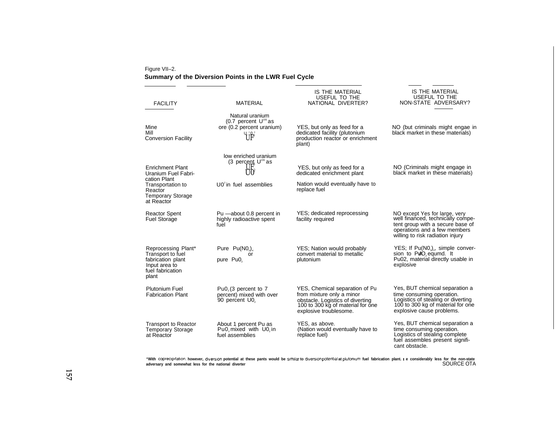#### Figure VII–2. **Summary of the Diversion Points in the LWR Fuel Cycle**

| <b>FACILITY</b>                                                                                                                          | <b>MATERIAL</b>                                                                                                          | IS THE MATERIAL<br>USEFUL TO THE<br>NATIONAL DIVERTER?                                                                                                         | IS THE MATERIAL<br>USEFUL TO THE<br>NON-STATE ADVERSARY?                                                                                                                   |
|------------------------------------------------------------------------------------------------------------------------------------------|--------------------------------------------------------------------------------------------------------------------------|----------------------------------------------------------------------------------------------------------------------------------------------------------------|----------------------------------------------------------------------------------------------------------------------------------------------------------------------------|
| Mine<br>Mill<br><b>Conversion Facility</b>                                                                                               | Natural uranium<br>(0.7 percent $U^{235}$ as<br>ore (0.2 percent uranium)<br>${\rm U}^{\rm ^{3}O^{\rm ^{*}}}_{\rm ^{6}}$ | YES, but only as feed for a<br>dedicated facility (plutonium<br>production reactor or enrichment<br>plant)                                                     | NO (but criminals might engae in<br>black market in these materials)                                                                                                       |
| <b>Enrichment Plant</b><br>Uranium Fuel Fabri-<br>cation Plant<br>Transportation to<br>Reactor<br><b>Temporary Storage</b><br>at Reactor | low enriched uranium<br>(3 percent $U^{235}$ as<br>UO <sup>z</sup><br>$U02$ in fuel assemblies                           | YES, but only as feed for a<br>dedicated enrichment plant<br>Nation would eventually have to<br>replace fuel                                                   | NO (Criminals might engage in<br>black market in these materials)                                                                                                          |
| <b>Reactor Spent</b><br>Fuel Storage                                                                                                     | Pu -about 0.8 percent in<br>highly radioactive spent<br>fuel                                                             | YES; dedicated reprocessing<br>facility required                                                                                                               | NO except Yes for large, very<br>well financed, technically compe-<br>tent group with a secure base of<br>operations and a few members<br>willing to risk radiation injury |
| Reprocessing Plant*<br>Transport to fuel<br>fabrication plant<br>Input area to<br>fuel fabrication<br>plant                              | Pure $Pu(NO3)4$<br>or<br>pure Pu0,                                                                                       | YES; Nation would probably<br>convert material to metallic<br>plutonium                                                                                        | YES; If $Pu(NO3)4$ , simple conver-<br>sion to PuO, equimd. It<br>Pu02, material directly usable in<br>explosive                                                           |
| Plutonium Fuel<br><b>Fabrication Plant</b>                                                                                               | Pu0, (3 percent to 7<br>percent) mixed with over<br>90 percent U0.                                                       | YES, Chemical separation of Pu<br>from mixture only a minor<br>obstacle. Logistics of diverting<br>100 to 300 kg of material for one<br>explosive troublesome. | Yes, BUT chemical separation a<br>time consuming operation.<br>Logistics of stealing or diverting<br>100 to 300 kg of material for one<br>explosive cause problems.        |
| <b>Transport to Reactor</b><br>Temporary Storage<br>at Reactor                                                                           | About 1 percent Pu as<br>Pu0, mixed with $U02$ in<br>fuel assemblies                                                     | YES, as above.<br>(Nation would eventually have to<br>replace fuel)                                                                                            | Yes, BUT chemical separation a<br>time consuming operation.<br>Logistics of stealing complete<br>fuel assembles present signifi-<br>cant obstacle.                         |

"With coprecipitation, however, diversion potential at these pants would be similarto diversionpotentialat plutonium fuel fabrication plant. ∟e considerably less for the non-state<br>adversary and somewhat less for the natio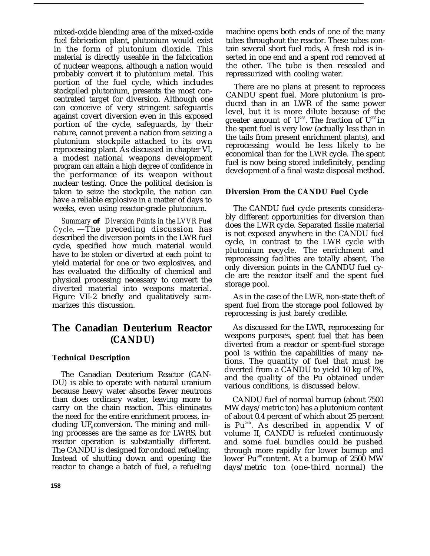mixed-oxide blending area of the mixed-oxide fuel fabrication plant, plutonium would exist in the form of plutonium dioxide. This material is directly useable in the fabrication of nuclear weapons, although a nation would probably convert it to plutonium metal. This portion of the fuel cycle, which includes stockpiled plutonium, presents the most concentrated target for diversion. Although one can conceive of very stringent safeguards against covert diversion even in this exposed portion of the cycle, safeguards, by their nature, cannot prevent a nation from seizing a plutonium stockpile attached to its own reprocessing plant. As discussed in chapter VI, a modest national weapons development program can attain a high degree of confidence in the performance of its weapon without nuclear testing. Once the political decision is taken to seize the stockpile, the nation can have a reliable explosive in a matter of days to weeks, even using reactor-grade plutonium.

*Summary* **of** *Diversion Points in the LVVR Fuel Cycle.* —The preceding discussion has described the diversion points in the LWR fuel cycle, specified how much material would have to be stolen or diverted at each point to yield material for one or two explosives, and has evaluated the difficulty of chemical and physical processing necessary to convert the diverted material into weapons material. Figure VII-2 briefly and qualitatively summarizes this discussion.

## **The Canadian Deuterium Reactor (CANDU)**

#### **Technical Description**

The Canadian Deuterium Reactor (CAN-DU) is able to operate with natural uranium because heavy water absorbs fewer neutrons than does ordinary water, leaving more to carry on the chain reaction. This eliminates the need for the entire enrichment process, including  $UF_{\epsilon}$  conversion. The mining and milling processes are the same as for LWRS, but reactor operation is substantially different. The CANDU is designed for ondoad refueling. Instead of shutting down and opening the reactor to change a batch of fuel, a refueling

machine opens both ends of one of the many tubes throughout the reactor. These tubes contain several short fuel rods, A fresh rod is inserted in one end and a spent rod removed at the other. The tube is then resealed and repressurized with cooling water.

There are no plans at present to reprocess CANDU spent fuel. More plutonium is produced than in an LWR of the same power level, but it is more dilute because of the greater amount of  $U^{238}$ . The fraction of  $U^{235}$  in the spent fuel is very low (actually less than in the tails from present enrichment plants), and reprocessing would be less likely to be economical than for the LWR cycle. The spent fuel is now being stored indefinitely, pending development of a final waste disposal method.

#### **Diversion From the CANDU Fuel Cycle**

The CANDU fuel cycle presents considerably different opportunities for diversion than does the LWR cycle. Separated fissile material is not exposed anywhere in the CANDU fuel cycle, in contrast to the LWR cycle with plutonium recycle. The enrichment and reprocessing facilities are totally absent. The only diversion points in the CANDU fuel cycle are the reactor itself and the spent fuel storage pool.

As in the case of the LWR, non-state theft of spent fuel from the storage pool followed by reprocessing is just barely credible.

As discussed for the LWR, reprocessing for weapons purposes, spent fuel that has been diverted from a reactor or spent-fuel storage pool is within the capabilities of many nations. The quantity of fuel that must be diverted from a CANDU to yield 10 kg of l%, and the quality of the Pu obtained under various conditions, is discussed below.

CANDU fuel of normal burnup (about 7500 MW days/metric ton) has a plutonium content of about 0.4 percent of which about 25 percent is Pu<sup>240</sup>. As described in appendix V of volume II, CANDU is refueled continuously and some fuel bundles could be pushed through more rapidly for lower burnup and lower  $Pu^{240}$  content. At a burnup of 2500 MW days/metric ton (one-third normal) the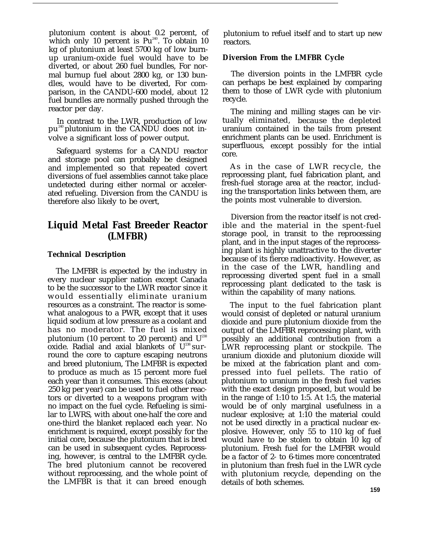plutonium content is about 0.2 percent, of which only 10 percent is  $Pu^{240}$ . To obtain 10 kg of plutonium at least 5700 kg of low burnup uranium-oxide fuel would have to be diverted, or about 260 fuel bundles, For normal burnup fuel about 2800 kg, or 130 bundles, would have to be diverted, For comparison, in the CANDU-600 model, about 12 fuel bundles are normally pushed through the reactor per day.

In contrast to the LWR, production of low pu240 plutonium in the CANDU does not involve a significant loss of power output.

Safeguard systems for a CANDU reactor and storage pool can probably be designed and implemented so that repeated covert diversions of fuel assemblies cannot take place undetected during either normal or accelerated refueling. Diversion from the CANDU is therefore also likely to be overt,

## **Liquid Metal Fast Breeder Reactor (LMFBR)**

#### **Technical Description**

The LMFBR is expected by the industry in every nuclear supplier nation except Canada to be the successor to the LWR reactor since it would essentially eliminate uranium resources as a constraint. The reactor is somewhat analogous to a PWR, except that it uses liquid sodium at low pressure as a coolant and has no moderator. The fuel is mixed plutonium (10 percent to 20 percent) and  $U^{238}$ oxide. Radial and axial blankets of  $U^{238}$  surround the core to capture escaping neutrons and breed plutonium, The LMFBR is expected to produce as much as 15 percent more fuel each year than it consumes. This excess (about 250 kg per year) can be used to fuel other reactors or diverted to a weapons program with no impact on the fuel cycle. Refueling is similar to LWRS, with about one-half the core and one-third the blanket replaced each year. No enrichment is required, except possibly for the initial core, because the plutonium that is bred can be used in subsequent cycles. Reprocessing, however, is central to the LMFBR cycle. The bred plutonium cannot be recovered without reprocessing, and the whole point of the LMFBR is that it can breed enough

plutonium to refuel itself and to start up new reactors.

#### **Diversion From the LMFBR Cycle**

The diversion points in the LMFBR cycle can perhaps be best explained by comparing them to those of LWR cycle with plutonium recycle.

The mining and milling stages can be virtually eliminated, because the depleted uranium contained in the tails from present enrichment plants can be used. Enrichment is superfluous, except possibly for the intial core.

As in the case of LWR recycle, the reprocessing plant, fuel fabrication plant, and fresh-fuel storage area at the reactor, including the transportation links between them, are the points most vulnerable to diversion.

Diversion from the reactor itself is not credible and the material in the spent-fuel storage pool, in transit to the reprocessing plant, and in the input stages of the reprocessing plant is highly unattractive to the diverter because of its fierce radioactivity. However, as in the case of the LWR, handling and reprocessing diverted spent fuel in a small reprocessing plant dedicated to the task is within the capability of many nations.

The input to the fuel fabrication plant would consist of depleted or natural uranium dioxide and pure plutonium dioxide from the output of the LMFBR reprocessing plant, with possibly an additional contribution from a LWR reprocessing plant or stockpile. The uranium dioxide and plutonium dioxide will be mixed at the fabrication plant and compressed into fuel pellets. The ratio of plutonium to uranium in the fresh fuel varies with the exact design proposed, but would be in the range of 1:10 to 1:5. At 1:5, the material would be of only marginal usefulness in a nuclear explosive; at 1:10 the material could not be used directly in a practical nuclear explosive. However, only 55 to 110 kg of fuel would have to be stolen to obtain 10 kg of plutonium. Fresh fuel for the LMFBR would be a factor of 2- to 6-times more concentrated in plutonium than fresh fuel in the LWR cycle with plutonium recycle, depending on the details of both schemes.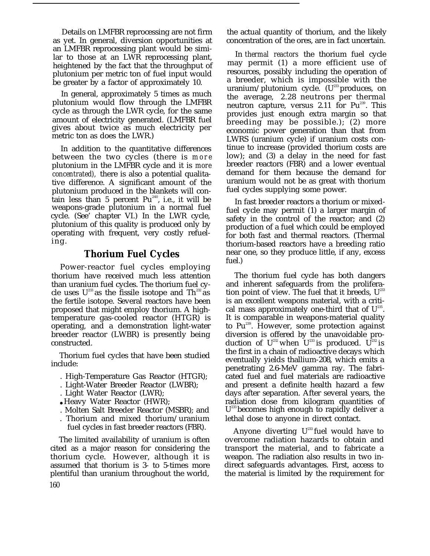Details on LMFBR reprocessing are not firm as yet. In general, diversion opportunities at an LMFBR reprocessing plant would be similar to those at an LWR reprocessing plant, heightened by the fact that the throughput of plutonium per metric ton of fuel input would be greater by a factor of approximately 10.

In general, approximately 5 times as much plutonium would flow through the LMFBR cycle as through the LWR cycle, for the same amount of electricity generated. (LMFBR fuel gives about twice as much electricity per metric ton as does the LWR.)

In addition to the quantitative differences between the two cycles (there is *more* plutonium in the LMFBR cycle and it is *more concentrated),* there is also a potential qualitative difference. A significant amount of the plutonium produced in the blankets will contain less than 5 percent  $Pu^{240}$ , i.e., it will be weapons-grade plutonium in a normal fuel cycle. (See' chapter VI.) In the LWR cycle, plutonium of this quality is produced only by operating with frequent, very costly refueling.

## **Thorium Fuel Cycles**

Power-reactor fuel cycles employing thorium have received much less attention than uranium fuel cycles. The thorium fuel cycle uses  $U^{233}$  as the fissile isotope and Th<sup>232</sup> as the fertile isotope. Several reactors have been proposed that might employ thorium. A hightemperature gas-cooled reactor (HTGR) is operating, and a demonstration light-water breeder reactor (LWBR) is presently being constructed.

Thorium fuel cycles that have been studied include:

- . High-Temperature Gas Reactor (HTGR);
- . Light-Water Breeder Reactor (LWBR);
- . Light Water Reactor (LWR);
- Heavy Water Reactor (HWR);
- . Molten Salt Breeder Reactor (MSBR); and
- . Thorium and mixed thorium/uranium fuel cycles in fast breeder reactors (FBR).

The limited availability of uranium is often cited as a major reason for considering the thorium cycle. However, although it is assumed that thorium is 3- to 5-times more plentiful than uranium throughout the world, 160

the actual quantity of thorium, and the likely concentration of the ores, are in fact uncertain.

In *thermal reactors* the thorium fuel cycle may permit (1) a more efficient use of resources, possibly including the operation of a breeder, which is impossible with the uranium/plutonium cycle.  $(U^{233})$  produces, on the average, 2.28 neutrons per thermal neutron capture, versus  $2.11$  for  $Pu^{239}$ . This provides just enough extra margin so that breeding may be possible.); (2) more economic power generation than that from LWRS (uranium cycle) if uranium costs continue to increase (provided thorium costs are low); and (3) a delay in the need for fast breeder reactors (FBR) and a lower eventual demand for them because the demand for uranium would not be as great with thorium fuel cycles supplying some power.

In fast breeder reactors a thorium or mixedfuel cycle may permit (1) a larger margin of safety in the control of the reactor; and (2) production of a fuel which could be employed for both fast and thermal reactors. (Thermal thorium-based reactors have a breeding ratio near one, so they produce little, if any, excess fuel.)

The thorium fuel cycle has both dangers and inherent safeguards from the proliferation point of view. The fuel that it breeds,  $U^{233}$ is an excellent weapons material, with a critical mass approximately one-third that of  $U^{235}$ . It is comparable in weapons-material quality to Pu<sup>239</sup>. However, some protection against diversion is offered by the unavoidable production of  $U^{232}$  when  $U^{233}$  is produced.  $U^{232}$  is the first in a chain of radioactive decays which eventually yields thallium-208, which emits a penetrating 2.6-MeV gamma ray. The fabricated fuel and fuel materials are radioactive and present a definite health hazard a few days after separation. After several years, the radiation dose from kilogram quantities of  $\mathrm{U}^\text{233}$ becomes high enough to rapidly deliver a lethal dose to anyone in direct contact.

Anyone diverting  $U^{233}$  fuel would have to overcome radiation hazards to obtain and transport the material, and to fabricate a weapon. The radiation also results in two indirect safeguards advantages. First, access to the material is limited by the requirement for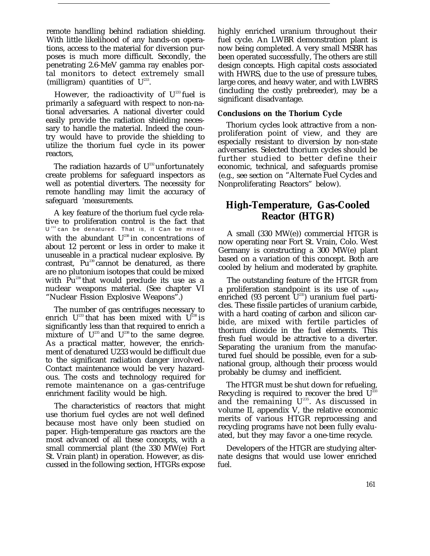remote handling behind radiation shielding. With little likelihood of any hands-on operations, access to the material for diversion purposes is much more difficult. Secondly, the penetrating 2.6-MeV gamma ray enables portal monitors to detect extremely small (milligram) quantities of  $U^{233}$ .

However, the radioactivity of  $U^{233}$  fuel is primarily a safeguard with respect to non-national adversaries. A national diverter could easily provide the radiation shielding necessary to handle the material. Indeed the country would have to provide the shielding to utilize the thorium fuel cycle in its power reactors,

The radiation hazards of  $U^{232}$  unfortunately create problems for safeguard inspectors as well as potential diverters. The necessity for remote handling may limit the accuracy of safeguard 'measurements.

A key feature of the thorium fuel cycle relative to proliferation control is the fact that U <sup>233</sup>can be denatured. That is, it Can be mixed with the abundant  $U^{238}$  in concentrations of about 12 percent or less in order to make it unuseable in a practical nuclear explosive. By contrast,  $Pu^{239}$  cannot be denatured, as there are no plutonium isotopes that could be mixed with  $Pu^{239}$  that would preclude its use as a nuclear weapons material. (See chapter VI "Nuclear Fission Explosive Weapons".)

The number of gas centrifuges necessary to enrich  $U^{23}$  that has been mixed with  $U^{238}$  is significantly less than that required to enrich a mixture of  $U^{235}$  and  $U^{238}$  to the same degree. As a practical matter, however, the enrichment of denatured U233 would be difficult due to the significant radiation danger involved. Contact maintenance would be very hazardous. The costs and technology required for remote maintenance on a gas-centrifuge enrichment facility would be high.

The characteristics of reactors that might use thorium fuel cycles are not well defined because most have only been studied on paper. High-temperature gas reactors are the most advanced of all these concepts, with a small commercial plant (the 330 MW(e) Fort St. Vrain plant) in operation. However, as discussed in the following section, HTGRs expose

highly enriched uranium throughout their fuel cycle. An LWBR demonstration plant is now being completed. A very small MSBR has been operated successfully, The others are still design concepts. High capital costs associated with HWRS, due to the use of pressure tubes, large cores, and heavy water, and with LWBRS (including the costly prebreeder), may be a significant disadvantage.

#### **Conclusions on the Thorium Cycle**

Thorium cycles look attractive from a nonproliferation point of view, and they are especially resistant to diversion by non-state adversaries. Selected thorium cycles should be further studied to better define their economic, technical, and safeguards promise (e.g., see section on "Alternate Fuel Cycles and Nonproliferating Reactors" below).

## **High-Temperature, Gas-Cooled Reactor (HTGR)**

A small (330 MW(e)) commercial HTGR is now operating near Fort St. Vrain, Colo. West Germany is constructing a 300 MW(e) plant based on a variation of this concept. Both are cooled by helium and moderated by graphite.

The outstanding feature of the HTGR from a proliferation standpoint is its use of **highly** enriched (93 percent  $U^{235}$ ) uranium fuel particles. These fissile particles of uranium carbide, with a hard coating of carbon and silicon carbide, are mixed with fertile particles of thorium dioxide in the fuel elements. This fresh fuel would be attractive to a diverter. Separating the uranium from the manufactured fuel should be possible, even for a subnational group, although their process would probably be clumsy and inefficient.

The HTGR must be shut down for refueling, Recycling is required to recover the bred  $U^{23}$ and the remaining  $U^{235}$ . As discussed in volume II, appendix V, the relative economic merits of various HTGR reprocessing and recycling programs have not been fully evaluated, but they may favor a one-time recycle.

Developers of the HTGR are studying alternate designs that would use lower enriched fuel.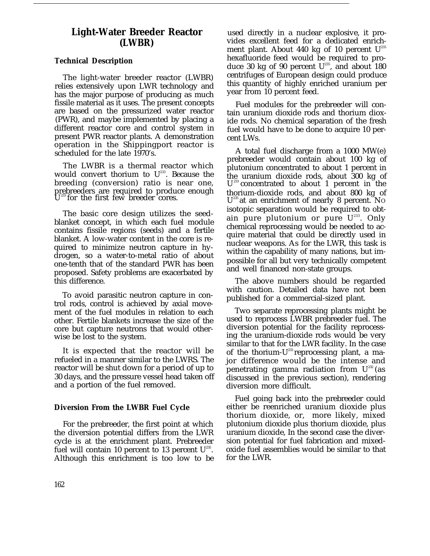## **Light-Water Breeder Reactor (LWBR)**

#### **Technical Description**

The light-water breeder reactor (LWBR) relies extensively upon LWR technology and has the major purpose of producing as much fissile material as it uses. The present concepts are based on the pressurized water reactor (PWR), and maybe implemented by placing a different reactor core and control system in present PWR reactor plants. A demonstration operation in the Shippingport reactor is scheduled for the late 1970's.

The LWBR is a thermal reactor which would convert thorium to  $U^{233}$ . Because the breeding (conversion) ratio is near one, prebreeders are required to produce enough U  $^{233}$  for the first few breeder cores.

The basic core design utilizes the seedblanket concept, in which each fuel module contains fissile regions (seeds) and a fertile blanket. A low-water content in the core is required to minimize neutron capture in hydrogen, so a water-to-metal ratio of about one-tenth that of the standard PWR has been proposed. Safety problems are exacerbated by this difference.

To avoid parasitic neutron capture in control rods, control is achieved by axial movement of the fuel modules in relation to each other. Fertile blankets increase the size of the core but capture neutrons that would otherwise be lost to the system.

It is expected that the reactor will be refueled in a manner similar to the LWRS. The reactor will be shut down for a period of up to 30 days, and the pressure vessel head taken off and a portion of the fuel removed.

#### **Diversion From the LWBR Fuel Cycle**

For the prebreeder, the first point at which the diversion potential differs from the LWR cycle is at the enrichment plant. Prebreeder fuel will contain 10 percent to 13 percent  $U^{235}$ . Although this enrichment is too low to be

used directly in a nuclear explosive, it provides excellent feed for a dedicated enrichment plant. About 440 kg of 10 percent  $U^{235}$ hexafluoride feed would be required to produce 30 kg of 90 percent  $U^{235}$ , and about 180 centrifuges of European design could produce this quantity of highly enriched uranium per year from 10 percent feed.

Fuel modules for the prebreeder will contain uranium dioxide rods and thorium dioxide rods. No chemical separation of the fresh fuel would have to be done to acquire 10 percent LWs.

A total fuel discharge from a 1000 MW(e) prebreeder would contain about 100 kg of plutonium concentrated to about 1 percent in the uranium dioxide rods, about 300 kg of U<sup>233</sup> concentrated to about 1 percent in the thorium-dioxide rods, and about 800 kg of U<sup>235</sup> at an enrichment of nearly 8 percent. No isotopic separation would be required to obtain pure plutonium or pure U<sup>233</sup>. Only chemical reprocessing would be needed to acquire material that could be directly used in nuclear weapons. As for the LWR, this task is within the capability of many nations, but impossible for all but very technically competent and well financed non-state groups.

The above numbers should be regarded with caution. Detailed data have not been published for a commercial-sized plant.

Two separate reprocessing plants might be used to reprocess LWBR prebreeder fuel. The diversion potential for the facility reprocessing the uranium-dioxide rods would be very similar to that for the LWR facility. In the case of the thorium-U<sup>233</sup> reprocessing plant, a major difference would be the intense and penetrating gamma radiation from  $U^{232}$  (as discussed in the previous section), rendering diversion more difficult.

Fuel going back into the prebreeder could either be reenriched uranium dioxide plus thorium dioxide, or, more likely, mixed plutonium dioxide plus thorium dioxide, plus uranium dioxide, In the second case the diversion potential for fuel fabrication and mixedoxide fuel assemblies would be similar to that for the LWR.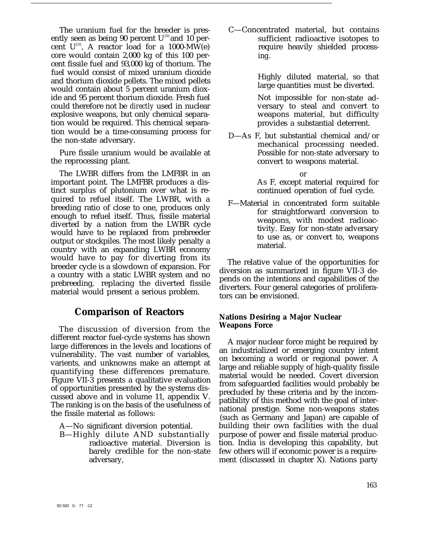The uranium fuel for the breeder is presently seen as being 90 percent  $U^{233}$  and 10 percent  $U^{235}$ , A reactor load for a 1000-MW(e) core would contain 2,000 kg of this 100 percent fissile fuel and 93,000 kg of thorium. The fuel would consist of mixed uranium dioxide and thorium dioxide pellets. The mixed pellets would contain about 5 percent uranium dioxide and 95 percent thorium dioxide. Fresh fuel could therefore not be *directly* used in nuclear explosive weapons, but only chemical separation would be required. This chemical separation would be a time-consuming process for the non-state adversary.

Pure fissile uranium would be available at the reprocessing plant.

The LWBR differs from the LMFBR in an important point. The LMFBR produces a distinct surplus of plutonium over what is required to refuel itself. The LWBR, with a breeding ratio of close to one, produces only enough to refuel itself. Thus, fissile material diverted by a nation from the LWBR cycle would have to be replaced from prebreeder output or stockpiles. The most likely penalty a country with an expanding LWBR economy would have to pay for diverting from its breeder cycle is a slowdown of expansion. For a country with a static LWBR system and no prebreeding, replacing the diverted fissile material would present a serious problem.

## **Comparison of Reactors**

The discussion of diversion from the different reactor fuel-cycle systems has shown large differences in the levels and locations of vulnerability. The vast number of variables, varients, and unknowns make an attempt at quantifying these differences premature. Figure VII-3 presents a qualitative evaluation of opportunities presented by the systems discussed above and in volume 11, appendix V. The ranking is on the basis of the usefulness of the fissile material as follows:

A—No significant diversion potential.

B—Highly dilute AND substantially radioactive material. Diversion is barely credible for the non-state adversary,

C—Concentrated material, but contains sufficient radioactive isotopes to require heavily shielded processing.

> Highly diluted material, so that large quantities must be diverted.

> Not impossible for non-state adversary to steal and convert to weapons material, but difficulty provides a substantial deterrent.

D—As F, but substantial chemical and/or mechanical processing needed. Possible for non-state adversary to convert to weapons material.

> or As F, except material required for continued operation of fuel cycle.

F—Material in concentrated form suitable for straightforward conversion to weapons, with modest radioactivity. Easy for non-state adversary to use as, or convert to, weapons material.

The relative value of the opportunities for diversion as summarized in figure VII-3 depends on the intentions and capabilities of the diverters. Four general categories of proliferators can be envisioned.

#### **Nations Desiring a Major Nuclear Weapons Force**

A major nuclear force might be required by an industrialized or emerging country intent on becoming a world or regional power. A large and reliable supply of high-quality fissile material would be needed. Covert diversion from safeguarded facilities would probably be precluded by these criteria and by the incompatibility of this method with the goal of international prestige. Some non-weapons states (such as Germany and Japan) are capable of building their own facilities with the dual purpose of power and fissile material production. India is developing this capability, but few others will if economic power is a requirement (discussed in chapter X). Nations party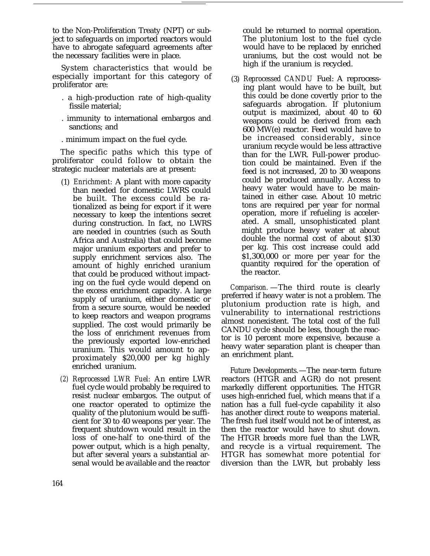to the Non-Proliferation Treaty (NPT) or subject to safeguards on imported reactors would have to abrogate safeguard agreements after the necessary facilities were in place.

System characteristics that would be especially important for this category of proliferator are:

- . a high-production rate of high-quality fissile material;
- . immunity to international embargos and sanctions; and
- . minimum impact on the fuel cycle.

The specific paths which this type of proliferator could follow to obtain the strategic nuclear materials are at present:

- (1) *Enrichment:* A plant with more capacity than needed for domestic LWRS could be built. The excess could be rationalized as being for export if it were necessary to keep the intentions secret during construction. In fact, no LWRS are needed in countries (such as South Africa and Australia) that could become major uranium exporters and prefer to supply enrichment services also. The amount of highly enriched uranium that could be produced without impacting on the fuel cycle would depend on the excess enrichment capacity. A large supply of uranium, either domestic or from a secure source, would be needed to keep reactors and weapon programs supplied. The cost would primarily be the loss of enrichment revenues from the previously exported low-enriched uranium. This would amount to approximately \$20,000 per kg highly enriched uranium.
- *(2) Reprocessed LWR Fuel:* An entire LWR fuel cycle would probably be required to resist nuclear embargos. The output of one reactor operated to optimize the quality of the plutonium would be sufficient for 30 to 40 weapons per year. The frequent shutdown would result in the loss of one-half to one-third of the power output, which is a high penalty, but after several years a substantial arsenal would be available and the reactor

could be returned to normal operation. The plutonium lost to the fuel cycle would have to be replaced by enriched uraniums, but the cost would not be high if the uranium is recycled.

(3) *Reprocessed CANDU* Fuel: A reprocessing plant would have to be built, but this could be done covertly prior to the safeguards abrogation. If plutonium output is maximized, about 40 to 60 weapons could be derived from each 600 MW(e) reactor. Feed would have to be increased considerably, since uranium recycle would be less attractive than for the LWR. Full-power production could be maintained. Even if the feed is not increased, 20 to 30 weapons could be produced annually. Access to heavy water would have to be maintained in either case. About 10 metric tons are required per year for normal operation, more if refueling is accelerated. A small, unsophisticated plant might produce heavy water at about double the normal cost of about \$130 per kg. This cost increase could add \$1,300,000 or more per year for the quantity required for the operation of the reactor.

*Comparison.* —The third route is clearly preferred if heavy water is not a problem. The plutonium production rate is high, and vulnerability to international restrictions almost nonexistent. The total cost of the full CANDU cycle should be less, though the reactor is 10 percent more expensive, because a heavy water separation plant is cheaper than an enrichment plant.

Future Developments.—The near-term future reactors (HTGR and AGR) do not present markedly different opportunities. The HTGR uses high-enriched fuel, which means that if a nation has a full fuel-cycle capability it also has another direct route to weapons material. The fresh fuel itself would not be of interest, as then the reactor would have to shut down. The HTGR breeds more fuel than the LWR, and recycle is a virtual requirement. The HTGR has somewhat more potential for diversion than the LWR, but probably less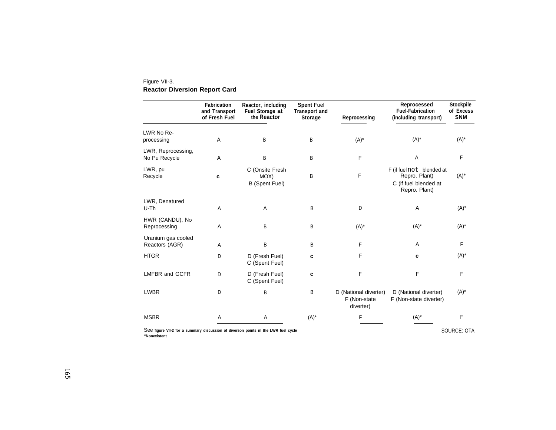#### Figure VII-3. **Reactor Diversion Report Card**

|                                      | <b>Fabrication</b><br>and Transport<br>of Fresh Fuel | Reactor, including<br>Fuel Storage at<br>the Reactor | <b>Spent Fuel</b><br><b>Transport and</b><br><b>Storage</b> | Reprocessing                                       | Reprocessed<br><b>Fuel-Fabrication</b><br>(including transport)                      | Stockpile<br>of Excess<br><b>SNM</b> |
|--------------------------------------|------------------------------------------------------|------------------------------------------------------|-------------------------------------------------------------|----------------------------------------------------|--------------------------------------------------------------------------------------|--------------------------------------|
| LWR No Re-<br>processing             | A                                                    | B                                                    | B                                                           | $(A)^*$                                            | $(A)^*$                                                                              | $(A)^*$                              |
| LWR, Reprocessing,<br>No Pu Recycle  | A                                                    | B                                                    | B                                                           | F                                                  | A                                                                                    | F                                    |
| LWR, pu<br>Recycle                   | c                                                    | C (Onsite Fresh<br>MOX)<br><b>B</b> (Spent Fuel)     | B                                                           | F                                                  | F (if fuel not blended at<br>Repro. Plant)<br>C (if fuel blended at<br>Repro. Plant) | $(A)^*$                              |
| LWR, Denatured<br>U-Th               | A                                                    | $\overline{A}$                                       | B                                                           | D                                                  | A                                                                                    | $(A)^*$                              |
| HWR (CANDU), No<br>Reprocessing      | A                                                    | B                                                    | B                                                           | $(A)^*$                                            | $(A)^*$                                                                              | $(A)^*$                              |
| Uranium gas cooled<br>Reactors (AGR) | A                                                    | B                                                    | B                                                           | F                                                  | A                                                                                    | F                                    |
| <b>HTGR</b>                          | D                                                    | D (Fresh Fuel)<br>C (Spent Fuel)                     | c                                                           | F                                                  | c                                                                                    | $(A)^*$                              |
| <b>LMFBR and GCFR</b>                | D                                                    | D (Fresh Fuel)<br>C (Spent Fuel)                     | C                                                           | F                                                  | F                                                                                    | F                                    |
| <b>LWBR</b>                          | D                                                    | B                                                    | B                                                           | D (National diverter)<br>F (Non-state<br>diverter) | D (National diverter)<br>F (Non-state diverter)                                      | $(A)^*$                              |
| <b>MSBR</b>                          | Α                                                    | Α                                                    | $(A)^*$                                                     | F                                                  | $(A)^*$                                                                              | F                                    |

See **figure VII-2 for a summary discussion of diverson points m the LWR fuel cycle "Nonexistent**

SOURCE: OTA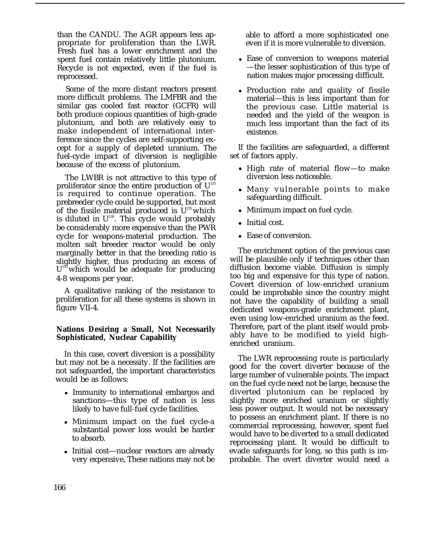than the CANDU. The AGR appears less appropriate for proliferation than the LWR. Fresh fuel has a lower enrichment and the spent fuel contain relatively little plutonium. Recycle is not expected, even if the fuel is reprocessed.

Some of the more distant reactors present more difficult problems. The LMFBR and the similar gas cooled fast reactor (GCFR) will both produce copious quantities of high-grade plutonium, and both are relatively easy to make independent of international interference since the cycles are self-supporting except for a supply of depleted uranium. The fuel-cycle impact of diversion is negligible because of the excess of plutonium.

The LWBR is not attractive to this type of proliferator since the entire production of  $U^{233}$ is required to continue operation. The prebreeder cycle could be supported, but most of the fissile material produced is  $U^{233}$  which is diluted in  $U^{238}$ . This cycle would probably be considerably more expensive than the PWR cycle for weapons-material production. The molten salt breeder reactor would be only marginally better in that the breeding ratio is slightly higher, thus producing an excess of U<sup>233</sup> which would be adequate for producing 4-8 weapons per year.

A qualitative ranking of the resistance to proliferation for all these systems is shown in figure VII-4.

#### **Nations Desiring a Small, Not Necessarily Sophisticated, Nuclear Capability**

In this case, covert diversion is a possibility but may not be a necessity. If the facilities are not safeguarded, the important characteristics would be as follows:

- Immunity to international embargos and sanctions—this type of nation is less likely to have full-fuel cycle facilities.
- Minimum impact on the fuel cycle-a substantial power loss would be harder to absorb.
- Initial cost—nuclear reactors are already very expensive, These nations may not be

able to afford a more sophisticated one even if it is more vulnerable to diversion.

- Ease of conversion to weapons material —the lesser sophistication of this type of nation makes major processing difficult.
- Production rate and quality of fissile material—this is less important than for the previous case. Little material is needed and the yield of the weapon is much less important than the fact of its existence.

If the facilities are safeguarded, a different set of factors apply.

- High rate of material flow—to make diversion less noticeable.
- Many vulnerable points to make safeguarding difficult.
- Minimum impact on fuel cycle.
- Initial cost.
- Ease of conversion.

The enrichment option of the previous case will be plausible only if techniques other than diffusion become viable. Diffusion is simply too big and expensive for this type of nation. Covert diversion of low-enriched uranium could be improbable since the country might not have the capability of building a small dedicated weapons-grade enrichment plant, even using low-enriched uranium as the feed. Therefore, part of the plant itself would probably have to be modified to yield highenriched uranium.

The LWR reprocessing route is particularly good for the covert diverter because of the large number of vulnerable points. The impact on the fuel cycle need not be large, because the diverted plutonium can be replaced by slightly more enriched uranium or slightly less power output. It would not be necessary to possess an enrichment plant. If there is no commercial reprocessing, however, spent fuel would have to be diverted to a small dedicated reprocessing plant. It would be difficult to evade safeguards for long, so this path is improbable. The overt diverter would need a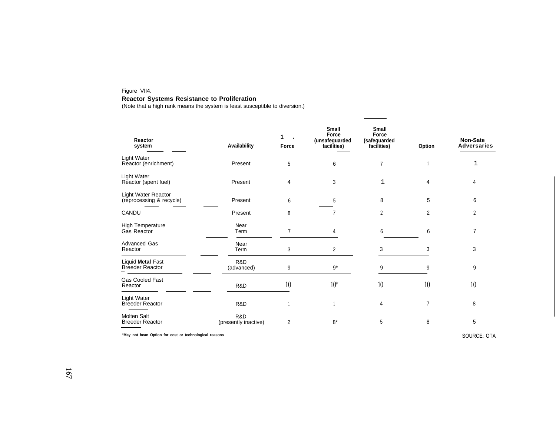#### Figure VII4.

#### **Reactor Systems Resistance to Proliferation**

(Note that a high rank means the system is least susceptible to diversion.)

| Reactor<br>system                               | Availability                | 1<br>Force     | <b>Small</b><br>Force<br>(unsafeguarded<br>facilities) | <b>Small</b><br>Force<br>(safeguarded<br>facilities) | Option | Non-Sate<br><b>Adversaries</b> |
|-------------------------------------------------|-----------------------------|----------------|--------------------------------------------------------|------------------------------------------------------|--------|--------------------------------|
| Light Water<br>Reactor (enrichment)             | Present                     | 5              | 6                                                      | 7                                                    |        | 1                              |
| Light Water<br>Reactor (spent fuel)             | Present                     | 4              | 3                                                      | 1                                                    | 4      | 4                              |
| Light Water Reactor<br>(reprocessing & recycle) | Present                     | 6              | 5                                                      | 8                                                    | 5      | 6                              |
| CANDU                                           | Present                     | 8              |                                                        | 2                                                    | 2      | 2                              |
| <b>High Temperature</b><br>Gas Reactor          | Near<br>Term                | $\overline{7}$ |                                                        | 6                                                    | 6      | 7                              |
| <b>Advanced Gas</b><br>Reactor                  | Near<br>Term                | 3              | 2                                                      | 3                                                    | 3      | 3                              |
| Liquid Metal Fast<br><b>Breeder Reactor</b>     | R&D<br>(advanced)           | 9              | $9*$                                                   | 9                                                    | 9      | 9                              |
| <b>Gas Cooled Fast</b><br>Reactor               | R&D                         | 10             | $10*$                                                  | 10                                                   | 10     | 10                             |
| Light Water<br><b>Breeder Reactor</b>           | R&D                         |                |                                                        | 4                                                    |        | 8                              |
| <b>Molten Salt</b><br><b>Breeder Reactor</b>    | R&D<br>(presently inactive) | 2              | $8*$                                                   | 5                                                    | 8      | 5                              |

**"May not bean Option for cost or technological reasons** SOURCE: OTA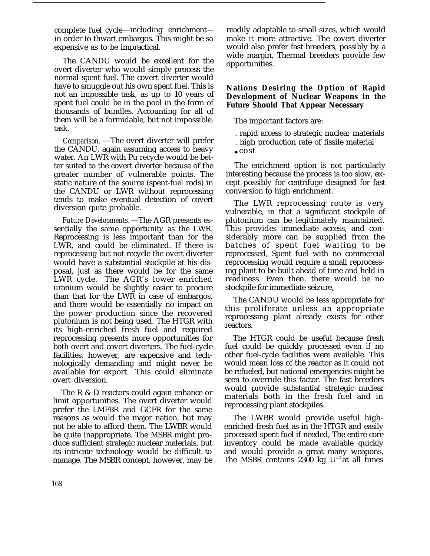complete fuel cycle—including enrichment in order to thwart embargos. This might be so expensive as to be impractical.

The CANDU would be excellent for the overt diverter who would simply process the normal spent fuel. The covert diverter would have to smuggle out his own spent fuel. This is not an impossible task, as up to 10 years of spent fuel could be in the pool in the form of thousands of bundles. Accounting for all of them will be a formidable, but not impossible, task.

*Comparison.* —The overt diverter will prefer the CANDU, again assuming access to heavy water. An LWR with Pu recycle would be better suited to the covert diverter because of the greater number of vulnerable points. The static nature of the source (spent-fuel rods) in the CANDU or LWR without reprocessing tends to make eventual detection of covert diversion quite probable.

*Future Developments.*—The AGR presents essentially the same opportunity as the LWR. Reprocessing is less important than for the LWR, and could be eliminated. If there is reprocessing but not recycle the overt diverter would have a substantial stockpile at his disposal, just as there would be for the same LWR cycle. The AGR's lower enriched uranium would be slightly easier to procure than that for the LWR in case of embargos, and there would be essentially no impact on the power production since the recovered plutonium is not being used. The HTGR with its high-enriched fresh fuel and required reprocessing presents more opportunities for both overt and covert diverters. The fuel-cycle facilities, however, are expensive and technologically demanding and might never be available for export. This could eliminate overt diversion.

The R & D reactors could again enhance or limit opportunities. The overt diverter would prefer the LMFBR and GCFR for the same reasons as would the major nation, but may not be able to afford them. The LWBR would be quite inappropriate. The MSBR might produce sufficient strategic nuclear materials, but its intricate technology would be difficult to manage. The MSBR concept, however, may be readily adaptable to small sizes, which would make it more attractive. The covert diverter would also prefer fast breeders, possibly by a wide margin, Thermal breeders provide few opportunities.

#### **Nations Desiring the Option of Rapid Development of Nuclear Weapons in the Future Should That Appear Necessary**

The important factors are:

- . rapid access to strategic nuclear materials
- . high production rate of fissile material
- $\cdot$  cost

The enrichment option is not particularly interesting because the process is too slow, except possibly for centrifuge designed for fast conversion to high enrichment.

The LWR reprocessing route is very vulnerable, in that a significant stockpile of plutonium can be legitimately maintained. This provides immediate access, and considerably more can be supplied from the batches of spent fuel waiting to be reprocessed, Spent fuel with no commercial reprocessing would require a small reprocessing plant to be built ahead of time and held in readiness. Even then, there would be no stockpile for immediate seizure,

The CANDU would be less appropriate for this proliferate unless an appropriate reprocessing plant already exists for other reactors.

The HTGR could be useful because fresh fuel could be quickly processed even if no other fuel-cycle facilities were available. This would mean loss of the reactor as it could not be refueled, but national emergencies might be seen to override this factor. The fast breeders would provide substantial strategic nuclear materials both in the fresh fuel and in reprocessing plant stockpiles.

The LWBR would provide useful highenriched fresh fuel as in the HTGR and easily processed spent fuel if needed, The entire core inventory could be made available quickly and would provide a great many weapons. The MSBR contains 2300 kg  $U^{233}$  at all times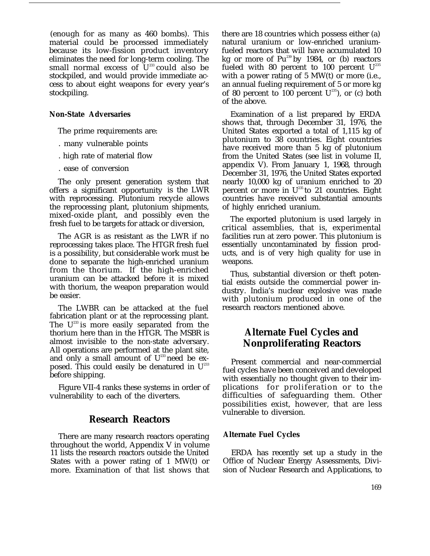(enough for as many as 460 bombs). This material could be processed immediately because its low-fission product inventory eliminates the need for long-term cooling. The small normal excess of  $\mathbf{U}^{233}$  could also be stockpiled, and would provide immediate access to about eight weapons for every year's stockpiling.

#### **Non-State Adversaries**

The prime requirements are:

- . many vulnerable points
- . high rate of material flow
- . ease of conversion

The only present generation system that offers a significant opportunity is the LWR with reprocessing. Plutonium recycle allows the reprocessing plant, plutonium shipments, mixed-oxide plant, and possibly even the fresh fuel to be targets for attack or diversion,

The AGR is as resistant as the LWR if no reprocessing takes place. The HTGR fresh fuel is a possibility, but considerable work must be done to separate the high-enriched uranium from the thorium. If the high-enriched uranium can be attacked before it is mixed with thorium, the weapon preparation would be easier.

The LWBR can be attacked at the fuel fabrication plant or at the reprocessing plant. The  $U^{233}$  is more easily separated from the thorium here than in the HTGR. The MSBR is almost invisible to the non-state adversary. All operations are performed at the plant site, and only a small amount of  $U^{233}$  need be exposed. This could easily be denatured in  $U^{233}$ before shipping.

Figure VII-4 ranks these systems in order of vulnerability to each of the diverters.

#### **Research Reactors**

There are many research reactors operating throughout the world, Appendix V in volume 11 lists the research reactors outside the United States with a power rating of 1 MW(t) or more. Examination of that list shows that there are 18 countries which possess either (a) natural uranium or low-enriched uraniumfueled reactors that will have accumulated 10 kg or more of Pu<sup>239</sup> by 1984, or (b) reactors fueled with 80 percent to 100 percent  $U^{235}$ with a power rating of 5 MW(t) or more (i.e., an annual fueling requirement of 5 or more kg of 80 percent to 100 percent  $U^{235}$ ), or (c) both of the above.

Examination of a list prepared by ERDA shows that, through December 31, 1976, the United States exported a total of 1,115 kg of plutonium to 38 countries. Eight countries have received more than 5 kg of plutonium from the United States (see list in volume II, appendix V). From January 1, 1968, through December 31, 1976, the United States exported nearly 10,000 kg of uranium enriched to 20 percent or more in  $U^{235}$  to 21 countries. Eight countries have received substantial amounts of highly enriched uranium.

The exported plutonium is used largely in critical assemblies, that is, experimental facilities run at zero power. This plutonium is essentially uncontaminated by fission products, and is of very high quality for use in weapons.

Thus, substantial diversion or theft potential exists outside the commercial power industry. India's nuclear explosive was made with plutonium produced in one of the research reactors mentioned above.

## **Alternate Fuel Cycles and Nonproliferating Reactors**

Present commercial and near-commercial fuel cycles have been conceived and developed with essentially no thought given to their implications for proliferation or to the difficulties of safeguarding them. Other possibilities exist, however, that are less vulnerable to diversion.

#### **Alternate Fuel Cycles**

ERDA has recently set up a study in the Office of Nuclear Energy Assessments, Division of Nuclear Research and Applications, to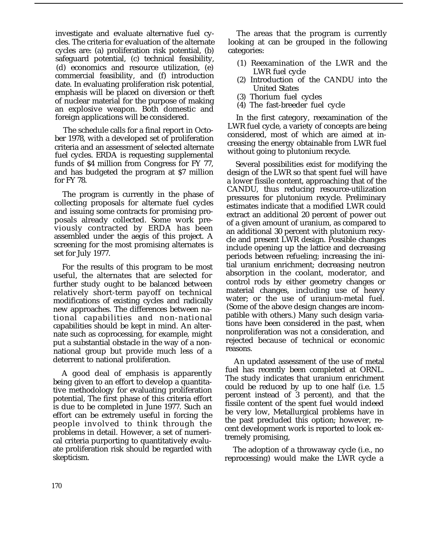investigate and evaluate alternative fuel cycles. The criteria for evaluation of the alternate cycles are: (a) proliferation risk potential, (b) safeguard potential, (c) technical feasibility, (d) economics and resource utilization, (e) commercial feasibility, and (f) introduction date. In evaluating proliferation risk potential, emphasis will be placed on diversion or theft of nuclear material for the purpose of making an explosive weapon. Both domestic and foreign applications will be considered.

The schedule calls for a final report in October 1978, with a developed set of proliferation criteria and an assessment of selected alternate fuel cycles. ERDA is requesting supplemental funds of \$4 million from Congress for FY 77, and has budgeted the program at \$7 million for FY 78.

The program is currently in the phase of collecting proposals for alternate fuel cycles and issuing some contracts for promising proposals already collected. Some work previously contracted by ERDA has been assembled under the aegis of this project. A screening for the most promising alternates is set for July 1977.

For the results of this program to be most useful, the alternates that are selected for further study ought to be balanced between relatively short-term payoff on technical modifications of existing cycles and radically new approaches. The differences between national capabilities and non-national capabilities should be kept in mind. An alternate such as coprocessing, for example, might put a substantial obstacle in the way of a nonnational group but provide much less of a deterrent to national proliferation.

A good deal of emphasis is apparently being given to an effort to develop a quantitative methodology for evaluating proliferation potential, The first phase of this criteria effort is due to be completed in June 1977. Such an effort can be extremely useful in forcing the people involved to think through the problems in detail. However, a set of numerical criteria purporting to quantitatively evaluate proliferation risk should be regarded with skepticism.

The areas that the program is currently looking at can be grouped in the following categories:

- (1) Reexamination of the LWR and the LWR fuel cycle
- (2) Introduction of the CANDU into the United States
- (3) Thorium fuel cycles
- (4) The fast-breeder fuel cycle

In the first category, reexamination of the LWR fuel cycle, a variety of concepts are being considered, most of which are aimed at increasing the energy obtainable from LWR fuel without going to plutonium recycle.

Several possibilities exist for modifying the design of the LWR so that spent fuel will have a lower fissile content, approaching that of the CANDU, thus reducing resource-utilization pressures for plutonium recycle. Preliminary estimates indicate that a modified LWR could extract an additional 20 percent of power out of a given amount of uranium, as compared to an additional 30 percent with plutonium recycle and present LWR design. Possible changes include opening up the lattice and decreasing periods between refueling; increasing the initial uranium enrichment; decreasing neutron absorption in the coolant, moderator, and control rods by either geometry changes or material changes, including use of heavy water; or the use of uranium-metal fuel. (Some of the above design changes are incompatible with others.) Many such design variations have been considered in the past, when nonproliferation was not a consideration, and rejected because of technical or economic reasons.

An updated assessment of the use of metal fuel has recently been completed at ORNL. The study indicates that uranium enrichment could be reduced by up to one half (i.e. 1.5 percent instead of 3 percent), and that the fissile content of the spent fuel would indeed be very low, Metallurgical problems have in the past precluded this option; however, recent development work is reported to look extremely promising,

The adoption of a throwaway cycle (i.e., no reprocessing) would make the LWR cycle a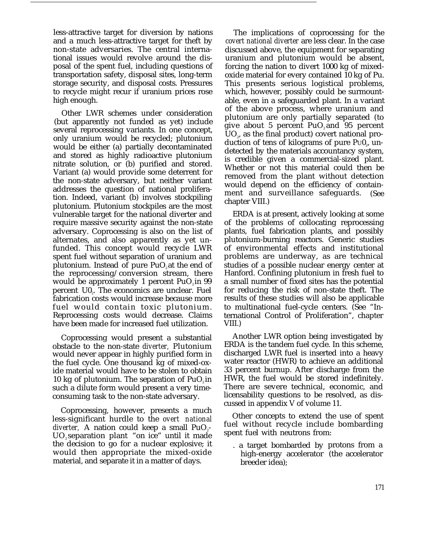less-attractive target for diversion by nations and a much less-attractive target for theft by non-state adversaries. The central international issues would revolve around the disposal of the spent fuel, including questions of transportation safety, disposal sites, long-term storage security, and disposal costs. Pressures to recycle might recur if uranium prices rose high enough.

Other LWR schemes under consideration (but apparently not funded as yet) include several reprocessing variants. In one concept, only uranium would be recycled; plutonium would be either (a) partially decontaminated and stored as highly radioactive plutonium nitrate solution, or (b) purified and stored. Variant (a) would provide some deterrent for the non-state adversary, but neither variant addresses the question of national proliferation. Indeed, variant (b) involves stockpiling plutonium. Plutonium stockpiles are the most vulnerable target for the national diverter and require massive security against the non-state adversary. Coprocessing is also on the list of alternates, and also apparently as yet unfunded. This concept would recycle LWR spent fuel without separation of uranium and plutonium. Instead of pure  $PuO<sub>2</sub>$  at the end of the reprocessing/conversion stream, there would be approximately 1 percent  $PuO<sub>2</sub>$  in 99 percent  $\mathsf{U0}_i$ . The economics are unclear. Fuel fabrication costs would increase because more fuel would contain toxic plutonium. Reprocessing costs would decrease. Claims have been made for increased fuel utilization.

Coprocessing would present a substantial obstacle to the non-state *diverter,* Plutonium would never appear in highly purified form in the fuel cycle. One thousand kg of mixed-oxide material would have to be stolen to obtain 10 kg of plutonium. The separation of  $PuO, in$ such a dilute form would present a very timeconsuming task to the non-state adversary.

Coprocessing, however, presents a much less-significant hurdle to the *overt national diverter*, A nation could keep a small  $PuO<sub>2</sub>$ UO<sub>2</sub> separation plant "on ice" until it made the decision to go for a nuclear explosive; it would then appropriate the mixed-oxide material, and separate it in a matter of days.

The implications of coprocessing for the *covert national diverter* are less clear. In the case discussed above, the equipment for separating uranium and plutonium would be absent, forcing the nation to divert 1000 kg of mixedoxide material for every contained 10 kg of Pu. This presents serious logistical problems, which, however, possibly could be surmountable, even in a safeguarded plant. In a variant of the above process, where uranium and plutonium are only partially separated (to give about 5 percent  $PuO_2$  and 95 percent  $UO<sub>2</sub>$ , as the final product) covert national production of tens of kilograms of pure P $\mathrm{U0}_\mathrm{z}$ , undetected by the materials accountancy system, is credible given a commercial-sized plant. Whether or not this material could then be removed from the plant without detection would depend on the efficiency of containment and surveillance safeguards. (See chapter VIII.)

ERDA is at present, actively looking at some of the problems of collocating reprocessing plants, fuel fabrication plants, and possibly plutonium-burning reactors. Generic studies of environmental effects and institutional problems are underway, as are technical studies of a possible nuclear energy center at Hanford. Confining plutonium in fresh fuel to a small number of fixed sites has the potential for reducing the risk of non-state theft. The results of these studies will also be applicable to multinational fuel-cycle centers. (See "International Control of Proliferation", chapter VIII.)

Another LWR option being investigated by ERDA is the tandem fuel cycle. In this scheme, discharged LWR fuel is inserted into a heavy water reactor (HWR) to achieve an additional 33 percent burnup. After discharge from the HWR, the fuel would be stored indefinitely. There are severe technical, economic, and licensability questions to be resolved, as discussed in appendix V of volume 11.

Other concepts to extend the use of spent fuel without recycle include bombarding spent fuel with neutrons from:

. a target bombarded by protons from a high-energy accelerator (the accelerator breeder idea);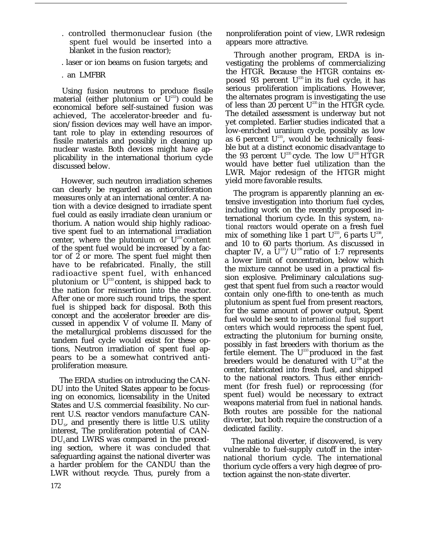- . controlled thermonuclear fusion (the spent fuel would be inserted into a blanket in the fusion reactor);
- . laser or ion beams on fusion targets; and
- . an LMFBR

Using fusion neutrons to produce fissile material (either plutonium or  $U^{233}$ ) could be economical before self-sustained fusion was achieved, The accelerator-breeder and fusion/fission devices may well have an important role to play in extending resources of fissile materials and possibly in cleaning up nuclear waste. Both devices might have applicability in the international thorium cycle discussed below.

However, such neutron irradiation schemes can clearly be regarded as antioroliferation measures only at an international center. A nation with a device designed to irradiate spent fuel could as easily irradiate clean uranium or thorium. A nation would ship highly radioactive spent fuel to an international irradiation center, where the plutonium or  $U^{233}$  content of the spent fuel would be increased by a factor of 2 or more. The spent fuel might then have to be refabricated. Finally, the still radioactive spent fuel, with enhanced plutonium or  $\overline{U}^{233}$  content, is shipped back to the nation for reinsertion into the reactor. After one or more such round trips, the spent fuel is shipped back for disposal. Both this concept and the accelerator breeder are discussed in appendix V of volume II. Many of the metallurgical problems discussed for the tandem fuel cycle would exist for these options, Neutron irradiation of spent fuel appears to be a somewhat contrived antiproliferation measure.

The ERDA studies on introducing the CAN-DU into the United States appear to be focusing on economics, licensability in the United States and U.S. commercial feasibility. No current U.S. reactor vendors manufacture CAN- $\tt DU_s$ , and presently there is little U.S. utility interest, The proliferation potential of CAN- $DU_s$  and LWRS was compared in the preceding section, where it was concluded that safeguarding against the national diverter was a harder problem for the CANDU than the LWR without recycle. Thus, purely from a

nonproliferation point of view, LWR redesign appears more attractive.

Through another program, ERDA is investigating the problems of commercializing the HTGR. Because the HTGR contains exposed 93 percent  $U^{235}$  in its fuel cycle, it has serious proliferation implications. However, the alternates program is investigating the use of less than 20 percent  $U^{235}$  in the HTGR cycle. The detailed assessment is underway but not yet completed. Earlier studies indicated that a low-enriched uranium cycle, possibly as low as 6 percent  $U^{235}$ , would be technically feasible but at a distinct economic disadvantage to the 93 percent  $U^{235}$  cycle. The low  $U^{235}$  HTGR would have better fuel utilization than the LWR. Major redesign of the HTGR might yield more favorable results.

The program is apparently planning an extensive investigation into thorium fuel cycles, including work on the recently proposed international thorium cycle. In this system, *national reactors* would operate on a fresh fuel mix of something like 1 part  $U^{233}$ , 6 parts  $U^{238}$ , and 10 to 60 parts thorium. As discussed in chapter IV, a  $U^{233}/U^{238}$  ratio of 1:7 represents a lower limit of concentration, below which the mixture cannot be used in a practical fission explosive. Preliminary calculations suggest that spent fuel from such a reactor would contain only one-fifth to one-tenth as much plutonium as spent fuel from present reactors, for the same amount of power output, Spent fuel would be sent to *international fuel support centers* which would reprocess the spent fuel, extracting the plutonium for burning onsite, possibly in fast breeders with thorium as the fertile element. The  $U^{23}$  produced in the fast breeders would be denatured with  $U^{238}$  at the center, fabricated into fresh fuel, and shipped to the national reactors. Thus either enrichment (for fresh fuel) or reprocessing (for spent fuel) would be necessary to extract weapons material from fuel in national hands. Both routes are possible for the national diverter, but both require the construction of a dedicated facility.

The national diverter, if discovered, is very vulnerable to fuel-supply cutoff in the international thorium cycle. The international thorium cycle offers a very high degree of protection against the non-state diverter.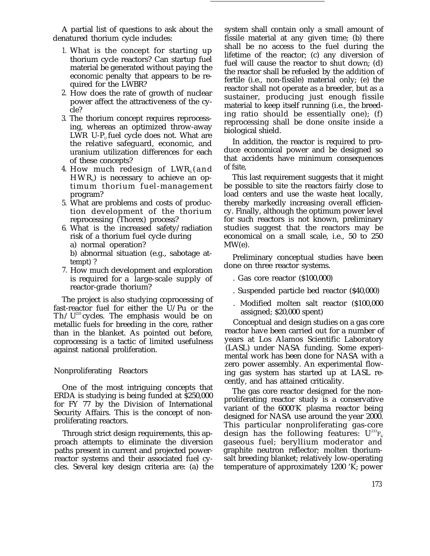A partial list of questions to ask about the denatured thorium cycle includes:

- 1. What is the concept for starting up thorium cycle reactors? Can startup fuel material be generated without paying the economic penalty that appears to be required for the LWBR?
- 2. How does the rate of growth of nuclear power affect the attractiveness of the cycle?
- 3. The thorium concept requires reprocessing, whereas an optimized throw-away LWR U-P<sub>u</sub> fuel cycle does not. What are the relative safeguard, economic, and uranium utilization differences for each of these concepts?
- 4. How much redesign of  ${\rm LWR}_{\rm s}$ (and  ${\rm HWR}_\mathrm{s}$ ) is necessary to achieve an optimum thorium fuel-management program?
- 5. What are problems and costs of production development of the thorium reprocessing (Thorex) process?
- 6. What is the increased safety/radiation risk of a thorium fuel cycle during
	- a) normal operation?
	- b) abnormal situation (e.g., sabotage attempt) ?
- 7. How much development and exploration is required for a large-scale supply of reactor-grade thorium?

The project is also studying coprocessing of fast-reactor fuel for either the U/Pu or the Th  $/U^{233}$  cycles. The emphasis would be on metallic fuels for breeding in the core, rather than in the blanket. As pointed out before, coprocessing is a tactic of limited usefulness against national proliferation.

#### Nonproliferating Reactors

One of the most intriguing concepts that ERDA is studying is being funded at \$250,000 for FY 77 by the Division of International Security Affairs. This is the concept of nonproliferating reactors.

Through strict design requirements, this approach attempts to eliminate the diversion paths present in current and projected powerreactor systems and their associated fuel cycles. Several key design criteria are: (a) the system shall contain only a small amount of fissile material at any given time; (b) there shall be no access to the fuel during the lifetime of the reactor; (c) any diversion of fuel will cause the reactor to shut down; (d) the reactor shall be refueled by the addition of fertile (i.e., non-fissile) material only; (e) the reactor shall not operate as a breeder, but as a sustainer, producing just enough fissile material to keep itself running (i.e., the breeding ratio should be essentially one); (f) reprocessing shall be done onsite inside a biological shield.

In addition, the reactor is required to produce economical power and be designed so that accidents have minimum consequences of fsite,

This last requirement suggests that it might be possible to site the reactors fairly close to load centers and use the waste heat locally, thereby markedly increasing overall efficiency. Finally, although the optimum power level for such reactors is not known, preliminary studies suggest that the reactors may be economical on a small scale, i.e., 50 to 250 MW(e).

Preliminary conceptual studies have been done on three reactor systems.

- . Gas core reactor (\$100,000)
- . Suspended particle bed reactor (\$40,000)
- . Modified molten salt reactor (\$100,000 assigned; \$20,000 spent)

Conceptual and design studies on a gas core reactor have been carried out for a number of years at Los Alamos Scientific Laboratory (LASL) under NASA funding. Some experimental work has been done for NASA with a zero power assembly. An experimental flowing gas system has started up at LASL recently, and has attained criticality.

The gas core reactor designed for the nonproliferating reactor study is a conservative variant of the  $6000\textdegree K$  plasma reactor being designed for NASA use around the year 2000. This particular nonproliferating gas-core design has the following features:  $U^{233}F_6$ gaseous fuel; beryllium moderator and graphite neutron reflector; molten thoriumsalt breeding blanket; relatively low-operating temperature of approximately 1200 'K; power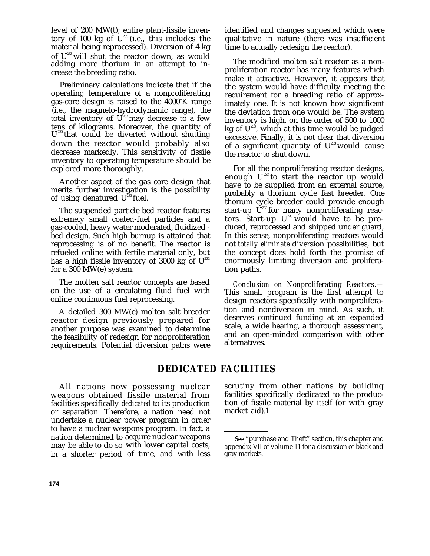level of 200 MW(t); entire plant-fissile inventory of 100 kg of  $U^{233}$  (i.e., this includes the material being reprocessed). Diversion of 4 kg of  $U^{233}$  will shut the reactor down, as would adding more thorium in an attempt to increase the breeding ratio.

Preliminary calculations indicate that if the operating temperature of a nonproliferating gas-core design is raised to the 4000°K range (i.e., the magneto-hydrodynamic range), the total inventory of  $U^{233}$  may decrease to a few tens of kilograms. Moreover, the quantity of  $U^{233}$  that could be diverted without shutting down the reactor would probably also decrease markedly. This sensitivity of fissile inventory to operating temperature should be explored more thoroughly.

Another aspect of the gas core design that merits further investigation is the possibility of using denatured  $U^{23}$  fuel.

The suspended particle bed reactor features extremely small coated-fuel particles and a gas-cooled, heavy water moderated, fluidized bed design. Such high burnup is attained that reprocessing is of no benefit. The reactor is refueled online with fertile material only, but has a high fissile inventory of 3000 kg of  $U^{233}$ for a 300 MW(e) system.

The molten salt reactor concepts are based on the use of a circulating fluid fuel with online continuous fuel reprocessing.

A detailed 300 MW(e) molten salt breeder reactor design previously prepared for another purpose was examined to determine the feasibility of redesign for nonproliferation requirements. Potential diversion paths were identified and changes suggested which were qualitative in nature (there was insufficient time to actually redesign the reactor).

The modified molten salt reactor as a nonproliferation reactor has many features which make it attractive. However, it appears that the system would have difficulty meeting the requirement for a breeding ratio of approximately one. It is not known how significant the deviation from one would be. The system inventory is high, on the order of 500 to 1000 kg of  $U^{233}$ , which at this time would be judged excessive. Finally, it is not clear that diversion of a significant quantity of  $U^{23}$  would cause the reactor to shut down.

For all the nonproliferating reactor designs, enough  $U^{233}$  to start the reactor up would have to be supplied from an external source, probably a thorium cycle fast breeder. One thorium cycle breeder could provide enough start-up  $\check{U}^{233}$  for many nonproliferating reactors. Start-up  $U^{233}$  would have to be produced, reprocessed and shipped under guard, In this sense, nonproliferating reactors would not *totally eliminate* diversion possibilities, but the concept does hold forth the promise of enormously limiting diversion and proliferation paths.

*Conclusion on Nonproliferating Reactors.—* This small program is the first attempt to design reactors specifically with nonproliferation and nondiversion in mind. As such, it deserves continued funding at an expanded scale, a wide hearing, a thorough assessment, and an open-minded comparison with other alternatives.

## **DEDICATED FACILITIES**

All nations now possessing nuclear weapons obtained fissile material from facilities specifically *dedicated* to its production or separation. Therefore, a nation need not undertake a nuclear power program in order to have a nuclear weapons program. In fact, a nation determined to acquire nuclear weapons may be able to do so with lower capital costs, in a shorter period of time, and with less

scrutiny from other nations by building facilities specifically dedicated to the production of fissile material by *itself* (or with gray market aid).1

Isee "purchase and Theft" section, this chapter and appendix VII of volume 11 for a discussion of black and gray markets.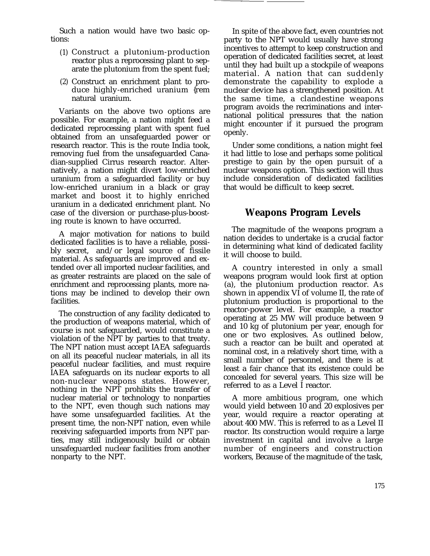Such a nation would have two basic options:

- (1) Construct a plutonium-production reactor plus a reprocessing plant to separate the plutonium from the spent fuel;
- (2) Construct an enrichment plant to produce highly-enriched uranium {rem natural uranium.

Variants on the above two options are possible. For example, a nation might feed a dedicated reprocessing plant with spent fuel obtained from an unsafeguarded power or research reactor. This is the route India took, removing fuel from the unsafeguarded Canadian-supplied Cirrus research reactor. Alternatively, a nation might divert low-enriched uranium from a safeguarded facility or buy low-enriched uranium in a black or gray market and boost it to highly enriched uranium in a dedicated enrichment plant. No case of the diversion or purchase-plus-boosting route is known to have occurred.

A major motivation for nations to build dedicated facilities is to have a reliable, possibly secret, and/or legal source of fissile material. As safeguards are improved and extended over all imported nuclear facilities, and as greater restraints are placed on the sale of enrichment and reprocessing plants, more nations may be inclined to develop their own facilities.

The construction of any facility dedicated to the production of weapons material, which of course is not safeguarded, would constitute a violation of the NPT by parties to that treaty. The NPT nation must accept IAEA safeguards on all its peaceful nuclear materials, in all its peaceful nuclear facilities, and must require IAEA safeguards on its nuclear exports to all non-nuclear weapons states. However, nothing in the NPT prohibits the transfer of nuclear material or technology to nonparties to the NPT, even though such nations may have some unsafeguarded facilities. At the present time, the non-NPT nation, even while receiving safeguarded imports from NPT parties, may still indigenously build or obtain unsafeguarded nuclear facilities from another nonparty to the NPT.

In spite of the above fact, even countries not party to the NPT would usually have strong incentives to attempt to keep construction and operation of dedicated facilities secret, at least until they had built up a stockpile of weapons material. A nation that can suddenly demonstrate the capability to explode a nuclear device has a strengthened position. At the same time, a clandestine weapons program avoids the recriminations and international political pressures that the nation might encounter if it pursued the program openly.

Under some conditions, a nation might feel it had little to lose and perhaps some political prestige to gain by the open pursuit of a nuclear weapons option. This section will thus include consideration of dedicated facilities that would be difficult to keep secret.

## **Weapons Program Levels**

The magnitude of the weapons program a nation decides to undertake is a crucial factor in determining what kind of dedicated facility it will choose to build.

A country interested in only a small weapons program would look first at option (a), the plutonium production reactor. As shown in appendix VI of volume II, the rate of plutonium production is proportional to the reactor-power level. For example, a reactor operating at 25 MW will produce between 9 and 10 kg of plutonium per year, enough for one or two explosives. As outlined below, such a reactor can be built and operated at nominal cost, in a relatively short time, with a small number of personnel, and there is at least a fair chance that its existence could be concealed for several years. This size will be referred to as a Level I reactor.

A more ambitious program, one which would yield between 10 and 20 explosives per year, would require a reactor operating at about 400 MW. This is referred to as a Level II reactor. Its construction would require a large investment in capital and involve a large number of engineers and construction workers, Because of the magnitude of the task,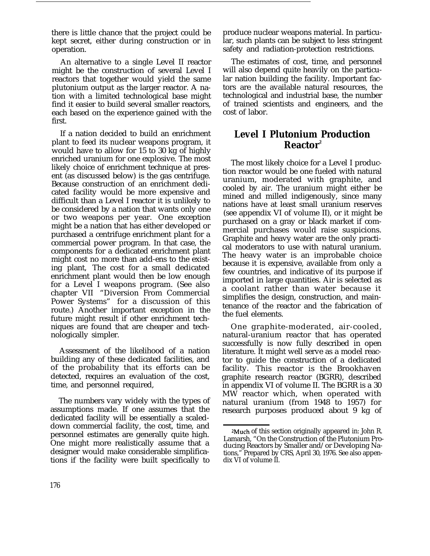there is little chance that the project could be kept secret, either during construction or in operation.

An alternative to a single Level II reactor might be the construction of several Level I reactors that together would yield the same plutonium output as the larger reactor. A nation with a limited technological base might find it easier to build several smaller reactors, each based on the experience gained with the first.

If a nation decided to build an enrichment plant to feed its nuclear weapons program, it would have to allow for 15 to 30 kg of highly enriched uranium for one explosive. The most likely choice of enrichment technique at present (as discussed below) is the gas centrifuge. Because construction of an enrichment dedicated facility would be more expensive and difficult than a Level I reactor it is unlikely to be considered by a nation that wants only one or two weapons per year. One exception might be a nation that has either developed or purchased a centrifuge enrichment plant for a commercial power program. In that case, the components for a dedicated enrichment plant might cost no more than add-ens to the existing plant, The cost for a small dedicated enrichment plant would then be low enough for a Level I weapons program. (See also chapter VII "Diversion From Commercial Power Systems" for a discussion of this route.) Another important exception in the future might result if other enrichment techniques are found that are cheaper and technologically simpler.

Assessment of the likelihood of a nation building any of these dedicated facilities, and of the probability that its efforts can be detected, requires an evaluation of the cost, time, and personnel required,

The numbers vary widely with the types of assumptions made. If one assumes that the dedicated facility will be essentially a scaleddown commercial facility, the cost, time, and personnel estimates are generally quite high. One might more realistically assume that a designer would make considerable simplifications if the facility were built specifically to

produce nuclear weapons material. In particular, such plants can be subject to less stringent safety and radiation-protection restrictions.

The estimates of cost, time, and personnel will also depend quite heavily on the particular nation building the facility. Important factors are the available natural resources, the technological and industrial base, the number of trained scientists and engineers, and the cost of labor.

## **Level I Plutonium Production Reactor<sup>2</sup>**

The most likely choice for a Level I production reactor would be one fueled with natural uranium, moderated with graphite, and cooled by air. The uranium might either be mined and milled indigenously, since many nations have at least small uranium reserves (see appendix VI of volume II), or it might be purchased on a gray or black market if commercial purchases would raise suspicions. Graphite and heavy water are the only practical moderators to use with natural uranium. The heavy water is an improbable choice because it is expensive, available from only a few countries, and indicative of its purpose if imported in large quantities. Air is selected as a coolant rather than water because it simplifies the design, construction, and maintenance of the reactor and the fabrication of the fuel elements.

One graphite-moderated, air-cooled, natural-uranium reactor that has operated successfully is now fully described in open literature. It might well serve as a model reactor to guide the construction of a dedicated facility. This reactor is the Brookhaven graphite research reactor (BGRR), described in appendix VI of volume II. The BGRR is a 30 MW reactor which, when operated with natural uranium (from 1948 to 1957) for research purposes produced about 9 kg of

<sup>&</sup>lt;sup>2</sup>Much of this section originally appeared in: John R. Lamarsh, "On the Construction of the Plutonium Producing Reactors by Smaller and/or Developing Nations," Prepared by CRS, April 30, 1976. See also appendix VI of volume II.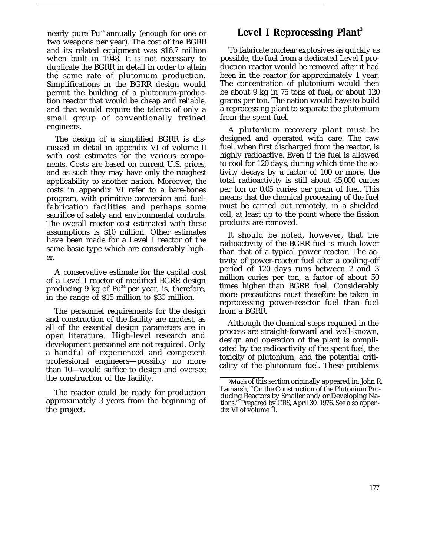nearly pure Pu<sup>239</sup> annually (enough for one or two weapons per year). The cost of the BGRR and its related equipment was \$16.7 million when built in 1948. It is not necessary to duplicate the BGRR in detail in order to attain the same rate of plutonium production. Simplifications in the BGRR design would permit the building of a plutonium-production reactor that would be cheap and reliable, and that would require the talents of only a small group of conventionally trained engineers.

The design of a simplified BGRR is discussed in detail in appendix VI of volume II with cost estimates for the various components. Costs are based on current U.S. prices, and as such they may have only the roughest applicability to another nation. Moreover, the costs in appendix VI refer to a bare-bones program, with primitive conversion and fuelfabrication facilities and perhaps some sacrifice of safety and environmental controls. The overall reactor cost estimated with these assumptions is \$10 million. Other estimates have been made for a Level I reactor of the same basic type which are considerably higher.

A conservative estimate for the capital cost of a Level I reactor of modified BGRR design producing 9 kg of Pu<sup>239</sup> per year, is, therefore, in the range of \$15 million to \$30 million.

The personnel requirements for the design and construction of the facility are modest, as all of the essential design parameters are in open literature. High-level research and development personnel are not required. Only a handful of experienced and competent professional engineers—possibly no more than 10—would suffice to design and oversee the construction of the facility.

The reactor could be ready for production approximately 3 years from the beginning of the project.

## **Level I Reprocessing Plant<sup>3</sup>**

To fabricate nuclear explosives as quickly as possible, the fuel from a dedicated Level I production reactor would be removed after it had been in the reactor for approximately 1 year. The concentration of plutonium would then be about 9 kg in 75 tons of fuel, or about 120 grams per ton. The nation would have to build a reprocessing plant to separate the plutonium from the spent fuel.

A plutonium recovery plant must be designed and operated with care. The raw fuel, when first discharged from the reactor, is highly radioactive. Even if the fuel is allowed to cool for 120 days, during which time the activity decays by a factor of 100 or more, the total radioactivity is still about 45,000 curies per ton or 0.05 curies per gram of fuel. This means that the chemical processing of the fuel must be carried out remotely, in a shielded cell, at least up to the point where the fission products are removed.

It should be noted, however, that the radioactivity of the BGRR fuel is much lower than that of a typical power reactor. The activity of power-reactor fuel after a cooling-off period of 120 days runs between 2 and 3 million curies per ton, a factor of about 50 times higher than BGRR fuel. Considerably more precautions must therefore be taken in reprocessing power-reactor fuel than fuel from a BGRR.

Although the chemical steps required in the process are straight-forward and well-known, design and operation of the plant is complicated by the radioactivity of the spent fuel, the toxicity of plutonium, and the potential criticality of the plutonium fuel. These problems

<sup>&</sup>lt;sup>3</sup>Much of this section originally appeared in: John R. Lamarsh, "On the Construction of the Plutonium Producing Reactors by Smaller and/or Developing Nations," Prepared by CRS, April 30, 1976. See also appendix VI of volume II.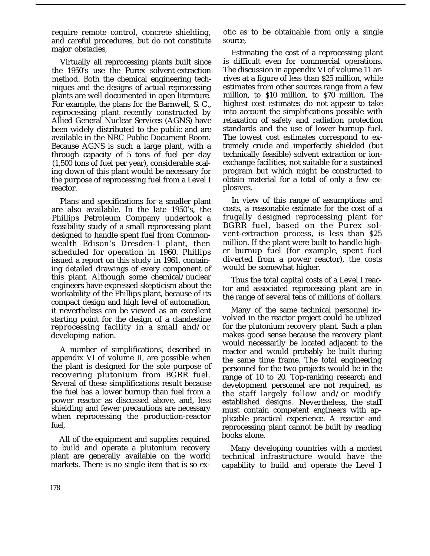require remote control, concrete shielding, and careful procedures, but do not constitute major obstacles,

Virtually all reprocessing plants built since the 1950's use the Purex solvent-extraction method. Both the chemical engineering techniques and the designs of actual reprocessing plants are well documented in open literature. For example, the plans for the Barnwell, S. C., reprocessing plant recently constructed by Allied General Nuclear Services (AGNS) have been widely distributed to the public and are available in the NRC Public Document Room. Because AGNS is such a large plant, with a through capacity of 5 tons of fuel per day (1,500 tons of fuel per year), considerable scaling down of this plant would be necessary for the purpose of reprocessing fuel from a Level I reactor.

Plans and specifications for a smaller plant are also available. In the late 1950's, the Phillips Petroleum Company undertook a feasibility study of a small reprocessing plant designed to handle spent fuel from Commonwealth Edison's Dresden-1 plant, then scheduled for operation in 1960. Phillips issued a report on this study in 1961, containing detailed drawings of every component of this plant. Although some chemical/nuclear engineers have expressed skepticism about the workability of the Phillips plant, because of its compact design and high level of automation, it nevertheless can be viewed as an excellent starting point for the design of a clandestine reprocessing facility in a small and/or developing nation.

A number of simplifications, described in appendix VI of volume II, are possible when the plant is designed for the sole purpose of recovering plutonium from BGRR fuel. Several of these simplifications result because the fuel has a lower burnup than fuel from a power reactor as discussed above, and, less shielding and fewer precautions are necessary when reprocessing the production-reactor fuel,

All of the equipment and supplies required to build and operate a plutonium recovery plant are generally available on the world markets. There is no single item that is so ex-

otic as to be obtainable from only a single source,

Estimating the cost of a reprocessing plant is difficult even for commercial operations. The discussion in appendix VI of volume 11 arrives at a figure of less than \$25 million, while estimates from other sources range from a few million, to \$10 million, to \$70 million. The highest cost estimates do not appear to take into account the simplifications possible with relaxation of safety and radiation protection standards and the use of lower burnup fuel. The lowest cost estimates correspond to extremely crude and imperfectly shielded (but technically feasible) solvent extraction or ionexchange facilities, not suitable for a sustained program but which might be constructed to obtain material for a total of only a few explosives.

In view of this range of assumptions and costs, a reasonable estimate for the cost of a frugally designed reprocessing plant for BGRR fuel, based on the Purex solvent-extraction process, is less than \$25 million. If the plant were built to handle higher burnup fuel (for example, spent fuel diverted from a power reactor), the costs would be somewhat higher.

Thus the total capital costs of a Level I reactor and associated reprocessing plant are in the range of several tens of millions of dollars.

Many of the same technical personnel involved in the reactor project could be utilized for the plutonium recovery plant. Such a plan makes good sense because the recovery plant would necessarily be located adjacent to the reactor and would probably be built during the same time frame. The total engineering personnel for the two projects would be in the range of 10 to 20. Top-ranking research and development personnel are not required, as the staff largely follow and/or modify established designs. Nevertheless, the staff must contain competent engineers with applicable practical experience. A reactor and reprocessing plant cannot be built by reading books alone.

Many developing countries with a modest technical infrastructure would have the capability to build and operate the Level I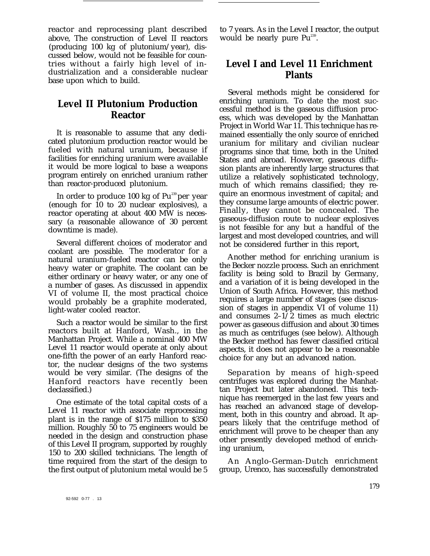reactor and reprocessing plant described above, The construction of Level II reactors (producing 100 kg of plutonium/year), discussed below, would not be feasible for countries without a fairly high level of industrialization and a considerable nuclear base upon which to build.

## **Level II Plutonium Production Reactor**

It is reasonable to assume that any dedicated plutonium production reactor would be fueled with natural uranium, because if facilities for enriching uranium were available it would be more logical to base a weapons program entirely on enriched uranium rather than reactor-produced plutonium.

In order to produce 100 kg of Pu<sup>239</sup> per year (enough for 10 to 20 nuclear explosives), a reactor operating at about 400 MW is necessary (a reasonable allowance of 30 percent downtime is made).

Several different choices of moderator and coolant are possible. The moderator for a natural uranium-fueled reactor can be only heavy water or graphite. The coolant can be either ordinary or heavy water, or any one of a number of gases. As discussed in appendix VI of volume II, the most practical choice would probably be a graphite moderated, light-water cooled reactor.

Such a reactor would be similar to the first reactors built at Hanford, Wash., in the Manhattan Project. While a nominal 400 MW Level 11 reactor wouId operate at only about one-fifth the power of an early Hanford reactor, the nuclear designs of the two systems would be very similar. (The designs of the Hanford reactors have recently been declassified.)

One estimate of the total capital costs of a Level 11 reactor with associate reprocessing plant is in the range of \$175 million to \$350 million. Roughly 50 to 75 engineers would be needed in the design and construction phase of this Level II program, supported by roughly 150 to 200 skilled technicians. The length of time required from the start of the design to the first output of plutonium metal would be 5

to 7 years. As in the Level I reactor, the output would be nearly pure Pu<sup>239</sup>.

## **Level I and Level 11 Enrichment Plants**

Several methods might be considered for enriching uranium. To date the most successful method is the gaseous diffusion process, which was developed by the Manhattan Project in World War 11. This technique has remained essentially the only source of enriched uranium for military and civilian nuclear programs since that time, both in the United States and abroad. However, gaseous diffusion plants are inherently large structures that utilize a relatively sophisticated technology, much of which remains classified; they require an enormous investment of capital; and they consume large amounts of electric power. Finally, they cannot be concealed. The gaseous-diffusion route to nuclear explosives is not feasible for any but a handful of the largest and most developed countries, and will not be considered further in this report,

Another method for enriching uranium is the Becker nozzle process. Such an enrichment facility is being sold to Brazil by Germany, and a variation of it is being developed in the Union of South Africa. However, this method requires a large number of stages (see discussion of stages in appendix VI of volume 11) and consumes 2–1/2 times as much electric power as gaseous diffusion and about 30 times as much as centrifuges (see below). Although the Becker method has fewer classified critical aspects, it does not appear to be a reasonable choice for any but an advanced nation.

Separation by means of high-speed centrifuges was explored during the Manhattan Project but later abandoned. This technique has reemerged in the last few years and has reached an advanced stage of development, both in this country and abroad. It appears likely that the centrifuge method of enrichment will prove to be cheaper than any other presently developed method of enriching uranium,

An Anglo-German-Dutch enrichment group, Urenco, has successfully demonstrated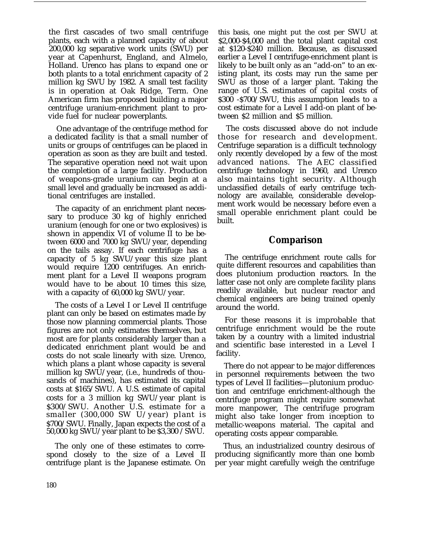the first cascades of two small centrifuge plants, each with a planned capacity of about 200,000 kg separative work units (SWU) per year at Capenhurst, England, and Almelo, Holland. Urenco has plans to expand one or both plants to a total enrichment capacity of 2 million kg SWU by 1982. A small test facility is in operation at Oak Ridge, Term. One American firm has proposed building a major centrifuge uranium-enrichment plant to provide fuel for nuclear powerplants.

One advantage of the centrifuge method for a dedicated facility is that a small number of units or groups of centrifuges can be placed in operation as soon as they are built and tested. The separative operation need not wait upon the completion of a large facility. Production of weapons-grade uranium can begin at a small level and gradually be increased as additional centrifuges are installed.

The capacity of an enrichment plant necessary to produce 30 kg of highly enriched uranium (enough for one or two explosives) is shown in appendix VI of volume II to be between 6000 and 7000 kg SWU/year, depending on the tails assay. If each centrifuge has a capacity of 5 kg SWU/year this size plant would require 1200 centrifuges. An enrichment plant for a Level II weapons program would have to be about 10 times this size, with a capacity of 60,000 kg SWU/year.

The costs of a Level I or Level II centrifuge plant can only be based on estimates made by those now planning commercial plants. Those figures are not only estimates themselves, but most are for plants considerably larger than a dedicated enrichment plant would be and costs do not scale linearly with size. Urenco, which plans a plant whose capacity is several million kg SWU/year, (i.e., hundreds of thousands of machines), has estimated its capital costs at \$165/SWU. A U.S. estimate of capital costs for a 3 million kg SWU/year plant is \$300/SWU. Another U.S. estimate for a smaller (300,000 SW U/year) plant is \$700/SWU. Finally, Japan expects the cost of a 50,000 kg SWU/year plant to be \$3,300 /SWU.

The only one of these estimates to correspond closely to the size of a Level II centrifuge plant is the Japanese estimate. On this basis, one might put the cost per SWU at \$2,000-\$4,000 and the total plant capital cost at \$120-\$240 million. Because, as discussed earlier a Level I centrifuge-enrichment plant is likely to be built only as an "add-on" to an existing plant, its costs may run the same per SWU as those of a larger plant. Taking the range of U.S. estimates of capital costs of \$300 -\$700/SWU, this assumption leads to a cost estimate for a Level I add-on plant of between \$2 million and \$5 million.

The costs discussed above do not include those for research and development. Centrifuge separation is a difficult technology only recently developed by a few of the most advanced nations. The AEC classified centrifuge technology in 1960, and Urenco also maintains tight security. Although unclassified details of early centrifuge technology are available, considerable development work would be necessary before even a small operable enrichment plant could be built.

### **Comparison**

The centrifuge enrichment route calls for quite different resources and capabilities than does plutonium production reactors. In the latter case not only are complete facility plans readily available, but nuclear reactor and chemical engineers are being trained openly around the world.

For these reasons it is improbable that centrifuge enrichment would be the route taken by a country with a limited industrial and scientific base interested in a Level I facility.

There do not appear to be major differences in personnel requirements between the two types of Level II facilities—plutonium production and centrifuge enrichment-although the centrifuge program might require somewhat more manpower, The centrifuge program might also take longer from inception to metallic-weapons material. The capital and operating costs appear comparable.

Thus, an industrialized country desirous of producing significantly more than one bomb per year might carefully weigh the centrifuge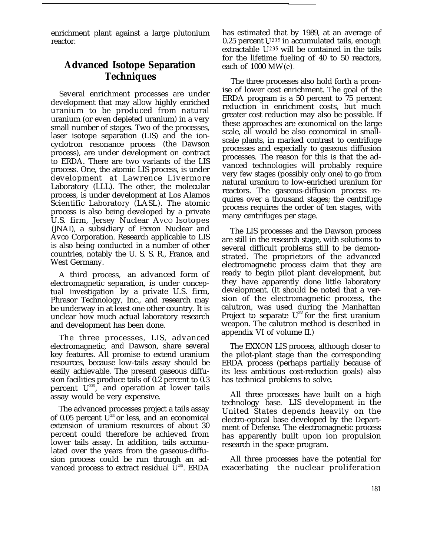enrichment plant against a large plutonium reactor.

## **Advanced Isotope Separation Techniques**

Several enrichment processes are under development that may allow highly enriched uranium to be produced from natural uranium (or even depleted uranium) in a very small number of stages. Two of the processes, laser isotope separation (LIS) and the ioncyclotron resonance process (the Dawson process), are under development on contract to ERDA. There are two variants of the LIS process. One, the atomic LIS process, is under development at Lawrence Livermore Laboratory (LLL). The other, the molecular process, is under development at Los Alamos Scientific Laboratory (LASL). The atomic process is also being developed by a private U.S. firm, Jersey Nuclear AVCO Isotopes (JNAI), a subsidiary of Exxon Nuclear and Avco Corporation. Research applicable to LIS is also being conducted in a number of other countries, notably the U. S. S. R., France, and West Germany.

A third process, an advanced form of electromagnetic separation, is under conceptual investigation by a private U.S. firm, Phrasor Technology, Inc., and research may be underway in at least one other country. It is unclear how much actual laboratory research and development has been done.

The three processes, LIS, advanced electromagnetic, and Dawson, share several key features. All promise to extend uranium resources, because low-tails assay should be easily achievable. The present gaseous diffusion facilities produce tails of 0.2 percent to 0.3 percent  $\mathbf{U}^{\text{235}}$ , and operation at lower tails assay would be very expensive.

The advanced processes project a tails assay of 0.05 percent  $U^{235}$  or less, and an economical extension of uranium resources of about 30 percent could therefore be achieved from lower tails assay. In addition, tails accumulated over the years from the gaseous-diffusion process could be run through an advanced process to extract residual  $U^{235}$ . ERDA has estimated that by 1989, at an average of 0.25 percent  $U^{235}$  in accumulated tails, enough extractable  $U^{235}$  will be contained in the tails for the lifetime fueling of 40 to 50 reactors, each of 1000 MW(e).

The three processes also hold forth a promise of lower cost enrichment. The goal of the ERDA program is a 50 percent to 75 percent reduction in enrichment costs, but much greater cost reduction may also be possible. If these approaches are economical on the large scale, all would be also economical in smallscale plants, in marked contrast to centrifuge processes and especially to gaseous diffusion processes. The reason for this is that the advanced technologies will probably require very few stages (possibly only one) to go from natural uranium to low-enriched uranium for reactors. The gaseous-diffusion process requires over a thousand stages; the centrifuge process requires the order of ten stages, with many centrifuges per stage.

The LIS processes and the Dawson process are still in the research stage, with solutions to several difficult problems still to be demonstrated. The proprietors of the advanced electromagnetic process claim that they are ready to begin pilot plant development, but they have apparently done little laboratory development. (It should be noted that a version of the electromagnetic process, the calutron, was used during the Manhattan Project to separate  $U^{235}$  for the first uranium weapon. The calutron method is described in appendix VI of volume II.)

The EXXON LIS process, although closer to the pilot-plant stage than the corresponding ERDA process (perhaps partially because of its less ambitious cost-reduction goals) also has technical problems to solve.

All three processes have built on a high technology base. LIS development in the United States depends heavily on the electro-optical base developed by the Department of Defense. The electromagnetic process has apparently built upon ion propulsion research in the space program.

All three processes have the potential for exacerbating the nuclear proliferation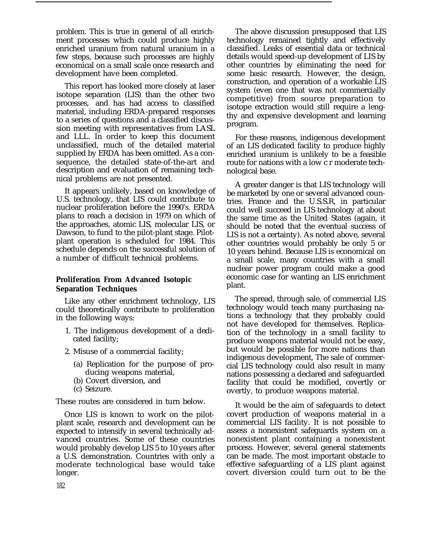problem. This is true in general of all enrichment processes which could produce highly enriched uranium from natural uranium in a few steps, because such processes are highly economical on a small scale once research and development have been completed.

This report has looked more closely at laser isotope separation (LIS) than the other two processes, and has had access to classified material, including ERDA-prepared responses to a series of questions and a classified discussion meeting with representatives from LASL and LLL. In order to keep this document unclassified, much of the detailed material supplied by ERDA has been omitted. As a consequence, the detailed state-of-the-art and description and evaluation of remaining technical problems are not presented.

It appears unlikely, based on knowledge of U.S. technology, that LIS could contribute to nuclear proliferation before the 1990's. ERDA plans to reach a decision in 1979 on which of the approaches, atomic LIS, molecular LIS, or Dawson, to fund to the pilot-plant stage. Pilotplant operation is scheduled for 1984. This schedule depends on the successful solution of a number of difficult technical problems.

#### **Proliferation From Advanced Isotopic Separation Techniques**

Like any other enrichment technology, LIS could theoretically contribute to proliferation in the following ways:

- 1. The indigenous development of a dedicated facility;
- 2. Misuse of a commercial facility;
	- (a) Replication for the purpose of producing weapons material,
	- (b) Covert diversion, and
	- (c) Seizure.

These routes are considered in turn below.

Once LIS is known to work on the pilotplant scale, research and development can be expected to intensify in several technically advanced countries. Some of these countries would probably develop LIS 5 to 10 years after a U.S. demonstration. Countries with only a moderate technological base would take longer.

The above discussion presupposed that LIS technology remained tightly and effectively classified. Leaks of essential data or technical details would speed-up development of LIS by other countries by eliminating the need for some basic research. However, the design, construction, and operation of a workable LIS system (even one that was not commercially competitive) from source preparation to isotope extraction would still require a lengthy and expensive development and learning program.

For these reasons, indigenous development of an LIS dedicated facility to produce highly enriched uranium is unlikely to be a feasible route for nations with a low c r moderate technological base.

A greater danger is that LIS technology will be marketed by one or several advanced countries. France and the U.S.S.R, in particular could well succeed in LIS technology at about the same time as the United States (again, it should be noted that the eventual success of LIS is not a certainty). As noted above, several other countries would probably be only 5 or 10 years behind. Because LIS is economical on a small scale, many countries with a small nuclear power program could make a good economic case for wanting an LIS enrichment plant.

The spread, through sale, of commercial LIS technology would teach many purchasing nations a technology that they probably could not have developed for themselves. Replication of the technology in a small facility to produce weapons material would not be easy, but would be possible for more nations than indigenous development, The sale of commercial LIS technology could also result in many nations possessing a declared and safeguarded facility that could be modified, covertly or overtly, to produce weapons material.

It would be the aim of safeguards to detect covert production of weapons material in a commercial LIS facility. It is not possible to assess a nonexistent safeguards system on a nonexistent plant containing a nonexistent process. However, several general statements can be made. The most important obstacle to effective safeguarding of a LIS plant against covert diversion could turn out to be the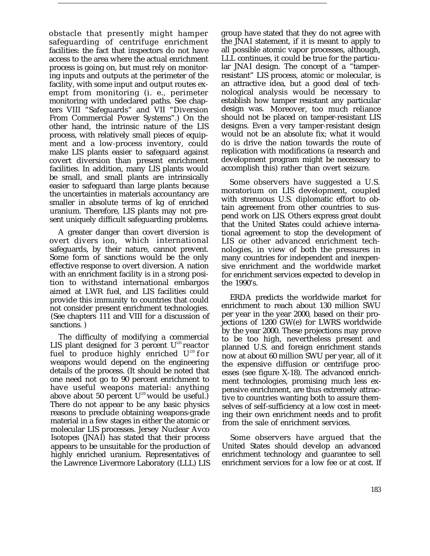obstacle that presently might hamper safeguarding of centrifuge enrichment facilities: the fact that inspectors do not have access to the area where the actual enrichment process is going on, but must rely on monitoring inputs and outputs at the perimeter of the facility, with some input and output routes exempt from monitoring (i. e., perimeter monitoring with undeclared paths. See chapters VIII "Safeguards" and VII "Diversion From Commercial Power Systems".) On the other hand, the intrinsic nature of the LIS process, with relatively small pieces of equipment and a low-process inventory, could make LIS plants easier to safeguard against covert diversion than present enrichment facilities. In addition, many LIS plants would be small, and small plants are intrinsically easier to safeguard than large plants because the uncertainties in materials accountancy are smaller in absolute terms of kg of enriched uranium. Therefore, LIS plants may not present uniquely difficult safeguarding problems.

A greater danger than covert diversion is overt divers ion, which international safeguards, by their nature, cannot prevent. Some form of sanctions would be the only effective response to overt diversion. A nation with an enrichment facility is in a strong position to withstand international embargos aimed at LWR fuel, and LIS facilities could provide this immunity to countries that could not consider present enrichment technologies. (See chapters 111 and VIII for a discussion of sanctions. )

The difficulty of modifying a commercial LIS plant designed for 3 percent  $U^{235}$  reactor fuel to produce highly enriched  $U^{235}$  for weapons would depend on the engineering details of the process. (It should be noted that one need not go to 90 percent enrichment to have useful weapons material: anything above about 50 percent  $U^{235}$  would be useful.) There do not appear to be any basic physics reasons to preclude obtaining weapons-grade material in a few stages in either the atomic or molecular LIS processes. Jersey Nuclear Avco Isotopes (JNAI) has stated that their process appears to be unsuitable for the production of highly enriched uranium. Representatives of the Lawrence Livermore Laboratory (LLL) LIS

group have stated that they do not agree with the JNAI statement, if it is meant to apply to all possible atomic vapor processes, although, LLL continues, it could be true for the particular JNAI design. The concept of a "tamperresistant" LIS process, atomic or molecular, is an attractive idea, but a good deal of technological analysis would be necessary to establish how tamper resistant any particular design was. Moreover, too much reliance should not be placed on tamper-resistant LIS designs. Even a very tamper-resistant design would not be an absolute fix; what it would do is drive the nation towards the route of replication with modifications (a research and development program might be necessary to accomplish this) rather than overt seizure.

Some observers have suggested a U.S. moratorium on LIS development, coupled with strenuous U.S. diplomatic effort to obtain agreement from other countries to suspend work on LIS. Others express great doubt that the United States could achieve international agreement to stop the development of LIS or other advanced enrichment technologies, in view of both the pressures in many countries for independent and inexpensive enrichment and the worldwide market for enrichment services expected to develop in the 1990's.

ERDA predicts the worldwide market for enrichment to reach about 130 million SWU per year in the year 2000, based on their projections of 1200 GW(e) for LWRS worldwide by the year 2000. These projections may prove to be too high, nevertheless present and planned U.S. and foreign enrichment stands now at about 60 million SWU per year, all of it the expensive diffusion or centrifuge processes (see figure X-18). The advanced enrichment technologies, promising much less expensive enrichment, are thus extremely attractive to countries wanting both to assure themselves of self-sufficiency at a low cost in meeting their own enrichment needs and to profit from the sale of enrichment services.

Some observers have argued that the United States should develop an advanced enrichment technology and guarantee to sell enrichment services for a low fee or at cost. If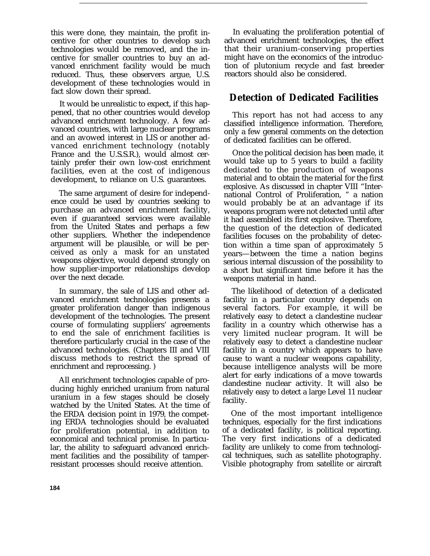this were done, they maintain, the profit incentive for other countries to develop such technologies would be removed, and the incentive for smaller countries to buy an advanced enrichment facility would be much reduced. Thus, these observers argue, U.S. development of these technologies would in fact slow down their spread.

It would be unrealistic to expect, if this happened, that no other countries would develop advanced enrichment technology. A few advanced countries, with large nuclear programs and an avowed interest in LIS or another advanced enrichment technology (notably France and the U.S.S.R.), would almost certainly prefer their own low-cost enrichment facilities, even at the cost of indigenous development, to reliance on U.S. guarantees.

The same argument of desire for independence could be used by countries seeking to purchase an advanced enrichment facility, even if guaranteed services were available from the United States and perhaps a few other suppliers. Whether the independence argument will be plausible, or will be perceived as only a mask for an unstated weapons objective, would depend strongly on how supplier-importer relationships develop over the next decade.

In summary, the sale of LIS and other advanced enrichment technologies presents a greater proliferation danger than indigenous development of the technologies. The present course of formulating suppliers' agreements to end the sale of enrichment facilities is therefore particularly crucial in the case of the advanced technologies. (Chapters III and VIII discuss methods to restrict the spread of enrichment and reprocessing. )

All enrichment technologies capable of producing highly enriched uranium from natural uranium in a few stages should be closely watched by the United States. At the time of the ERDA decision point in 1979, the competing ERDA technologies should be evaluated for proliferation potential, in addition to economical and technical promise. In particular, the ability to safeguard advanced enrichment facilities and the possibility of tamperresistant processes should receive attention.

In evaluating the proliferation potential of advanced enrichment technologies, the effect that their uranium-conserving properties might have on the economics of the introduction of plutonium recycle and fast breeder reactors should also be considered.

## **Detection of Dedicated Facilities**

This report has not had access to any classified intelligence information. Therefore, only a few general comments on the detection of dedicated facilities can be offered.

Once the political decision has been made, it would take up to 5 years to build a facility dedicated to the production of weapons material and to obtain the material for the first explosive. As discussed in chapter VIII "International Control of Proliferation, " a nation would probably be at an advantage if its weapons program were not detected until after it had assembled its first explosive. Therefore, the question of the detection of dedicated facilities focuses on the probability of detection within a time span of approximately 5 years—between the time a nation begins serious internal discussion of the possibility to a short but significant time before it has the weapons material in hand.

The likelihood of detection of a dedicated facility in a particular country depends on several factors. For example, it will be relatively easy to detect a clandestine nuclear facility in a country which otherwise has a very limited nuclear program. It will be relatively easy to detect a clandestine nuclear facility in a country which appears to have cause to want a nuclear weapons capability, because intelligence analysts will be more alert for early indications of a move towards clandestine nuclear activity. It will also be relatively easy to detect a large Level 11 nuclear facility.

One of the most important intelligence techniques, especially for the first indications of a dedicated facility, is political reporting. The very first indications of a dedicated facility are unlikely to come from technological techniques, such as satellite photography. Visible photography from satellite or aircraft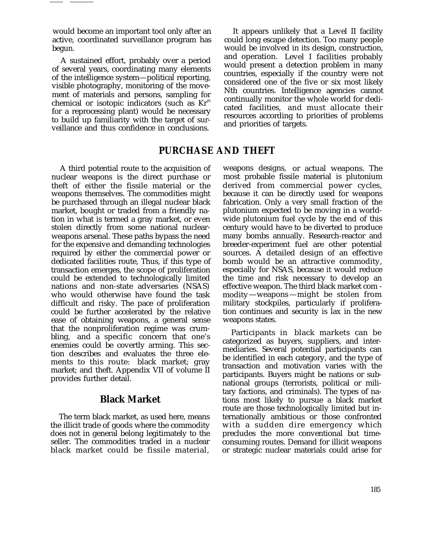would become an important tool only after an active, coordinated surveillance program has begun.

A sustained effort, probably over a period of several years, coordinating many elements of the intelligence system—political reporting, visible photography, monitoring of the movement of materials and persons, sampling for chemical or isotopic indicators (such as  $Kr<sup>85</sup>$ for a reprocessing plant) would be necessary to build up familiarity with the target of surveillance and thus confidence in conclusions.

It appears unlikely that a Level II facility could long escape detection. Too many people would be involved in its design, construction, and operation. Level I facilities probably would present a detection problem in many countries, especially if the country were not considered one of the five or six most likely Nth countries. Intelligence agencies cannot continually monitor the whole world for dedicated facilities, and must allocate their resources according to priorities of problems and priorities of targets.

## **PURCHASE AND THEFT**

A third potential route to the acquisition of nuclear weapons is the direct purchase or theft of either the fissile material or the weapons themselves. The commodities might be purchased through an illegal nuclear black market, bought or traded from a friendly nation in what is termed a gray market, or even stolen directly from some national nuclearweapons arsenal. These paths bypass the need for the expensive and demanding technologies required by either the commercial power or dedicated facilities route, Thus, if this type of transaction emerges, the scope of proliferation could be extended to technologically limited nations and non-state adversaries (NSAS) who would otherwise have found the task difficult and risky. The pace of proliferation could be further accelerated by the relative ease of obtaining weapons, a general sense that the nonproliferation regime was crumbling, and a specific concern that one's enemies could be covertly arming. This section describes and evaluates the three elements to this route: black market; gray market; and theft. Appendix VII of volume II provides further detail.

#### **Black Market**

The term black market, as used here, means the illicit trade of goods where the commodity does not in general belong legitimately to the seller. The commodities traded in a nuclear black market could be fissile material,

weapons designs, or actual weapons. The most probable fissile material is plutonium derived from commercial power cycles, because it can be directly used for weapons fabrication. Only a very small fraction of the plutonium expected to be moving in a worldwide plutonium fuel cycle by the end of this century would have to be diverted to produce many bombs annually. Research-reactor and breeder-experiment fuel are other potential sources. A detailed design of an effective bomb would be an attractive commodity, especially for NSAS, because it would reduce the time and risk necessary to develop an effective weapon. The third black market com modity—weapons—might be stolen from military stockpiles, particularly if proliferation continues and security is lax in the new weapons states.

Participants in black markets can be categorized as buyers, suppliers, and intermediaries. Several potential participants can be identified in each category, and the type of transaction and motivation varies with the participants. Buyers might be nations or subnational groups (terrorists, political or military factions, and criminals). The types of nations most likely to pursue a black market route are those technologically limited but internationally ambitious or those confronted with a sudden dire emergency which precludes the more conventional but timeconsuming routes. Demand for illicit weapons or strategic nuclear materials could arise for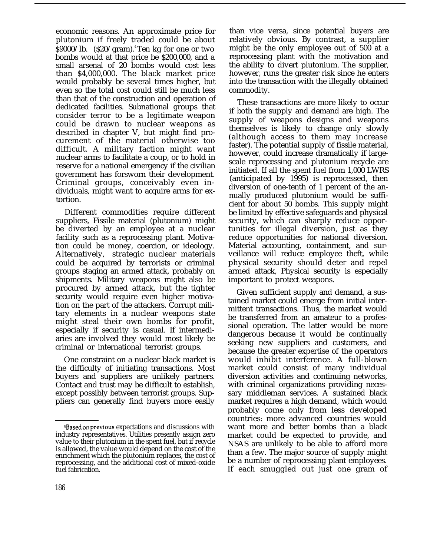economic reasons. An approximate price for plutonium if freely traded could be about  $$9000/lb.$  ( $$20/gram$ ).<sup>4</sup>Ten kg for one or two bombs would at that price be \$200,000, and a small arsenal of 20 bombs would cost less than \$4,000,000. The black market price would probably be several times higher, but even so the total cost could still be much less than that of the construction and operation of dedicated facilities. Subnational groups that consider terror to be a legitimate weapon could be drawn to nuclear weapons as described in chapter V, but might find procurement of the material otherwise too difficult. A military faction might want nuclear arms to facilitate a coup, or to hold in reserve for a national emergency if the civilian government has forsworn their development. Criminal groups, conceivably even individuals, might want to acquire arms for extortion.

Different commodities require different suppliers, Fissile material (plutonium) might be diverted by an employee at a nuclear facility such as a reprocessing plant. Motivation could be money, coercion, or ideology. Alternatively, strategic nuclear materials could be acquired by terrorists or criminal groups staging an armed attack, probably on shipments. Military weapons might also be procured by armed attack, but the tighter security would require even higher motivation on the part of the attackers. Corrupt military elements in a nuclear weapons state might steal their own bombs for profit, especially if security is casual. If intermediaries are involved they would most likely be criminal or international terrorist groups.

One constraint on a nuclear black market is the difficulty of initiating transactions. Most buyers and suppliers are unlikely partners. Contact and trust may be difficult to establish, except possibly between terrorist groups. Suppliers can generally find buyers more easily than vice versa, since potential buyers are relatively obvious. By contrast, a supplier might be the only employee out of 500 at a reprocessing plant with the motivation and the ability to divert plutonium. The supplier, however, runs the greater risk since he enters into the transaction with the illegally obtained commodity.

These transactions are more likely to occur if both the supply and demand are high. The supply of weapons designs and weapons themselves is likely to change only slowly (although access to them may increase faster). The potential supply of fissile material, however, could increase dramatically if largescale reprocessing and plutonium recycle are initiated. If all the spent fuel from 1,000 LWRS (anticipated by 1995) is reprocessed, then diversion of one-tenth of 1 percent of the annually produced plutonium would be sufficient for about 50 bombs. This supply might be limited by effective safeguards and physical security, which can sharply reduce opportunities for illegal diversion, just as they reduce opportunities for national diversion. Material accounting, containment, and surveillance will reduce employee theft, while physical security should deter and repel armed attack, Physical security is especially important to protect weapons.

Given sufficient supply and demand, a sustained market could emerge from initial intermittent transactions. Thus, the market would be transferred from an amateur to a professional operation. The latter would be more dangerous because it would be continually seeking new suppliers and customers, and because the greater expertise of the operators would inhibit interference. A full-blown market could consist of many individual diversion activities and continuing networks, with criminal organizations providing necessary middleman services. A sustained black market requires a high demand, which would probably come only from less developed countries: more advanced countries would want more and better bombs than a black market could be expected to provide, and NSAS are unlikely to be able to afford more than a few. The major source of supply might be a number of reprocessing plant employees. If each smuggled out just one gram of

<sup>4</sup>Based on previous expectations and discussions with industry representatives. Utilities presently assign zero value to their plutonium in the spent fuel, but if recycle is allowed, the value would depend on the cost of the enrichment which the plutonium replaces, the cost of reprocessing, and the additional cost of mixed-oxide fuel fabrication.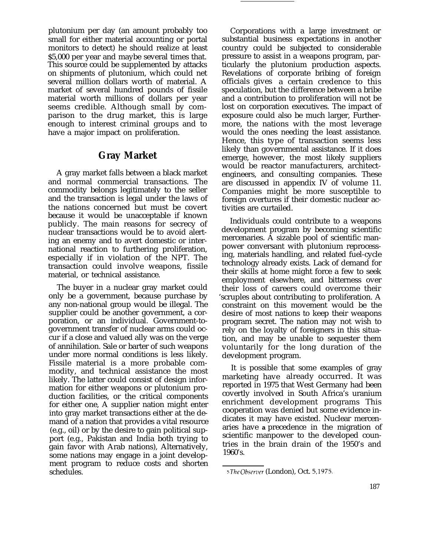plutonium per day (an amount probably too small for either material accounting or portal monitors to detect) he should realize at least \$5,000 per year and maybe several times that. This source could be supplemented by attacks on shipments of plutonium, which could net several million dollars worth of material. A market of several hundred pounds of fissile material worth millions of dollars per year seems credible. Although small by comparison to the drug market, this is large enough to interest criminal groups and to have a major impact on proliferation.

#### **Gray Market**

A gray market falls between a black market and normal commercial transactions. The commodity belongs legitimately to the seller and the transaction is legal under the laws of the nations concerned but must be covert because it would be unacceptable if known publicly. The main reasons for secrecy of nuclear transactions would be to avoid alerting an enemy and to avert domestic or international reaction to furthering proliferation, especially if in violation of the NPT. The transaction could involve weapons, fissile material, or technical assistance.

The buyer in a nuclear gray market could only be a government, because purchase by any non-national group would be illegal. The supplier could be another government, a corporation, or an individual. Government-togovernment transfer of nuclear arms could occur if a close and valued ally was on the verge of annihilation. Sale or barter of such weapons under more normal conditions is less likely. Fissile material is a more probable commodity, and technical assistance the most likely. The latter could consist of design information for either weapons or plutonium production facilities, or the critical components for either one, A supplier nation might enter into gray market transactions either at the demand of a nation that provides a vital resource (e.g., oil) or by the desire to gain political support (e.g., Pakistan and India both trying to gain favor with Arab nations), Alternatively, some nations may engage in a joint development program to reduce costs and shorten schedules.

Corporations with a large investment or substantial business expectations in another country could be subjected to considerable pressure to assist in a weapons program, particularly the plutonium production aspects. Revelations of corporate bribing of foreign officials gives a certain credence to this speculation, but the difference between a bribe and a contribution to proliferation will not be lost on corporation executives. The impact of exposure could also be much larger, Furthermore, the nations with the most leverage would the ones needing the least assistance. Hence, this type of transaction seems less likely than governmental assistance. If it does emerge, however, the most likely suppliers would be reactor manufacturers, architectengineers, and consulting companies. These are discussed in appendix IV of volume 11. Companies might be more susceptible to foreign overtures if their domestic nuclear activities are curtailed.

Individuals could contribute to a weapons development program by becoming scientific mercenaries. A sizable pool of scientific manpower conversant with plutonium reprocessing, materials handling, and related fuel-cycle technology already exists. Lack of demand for their skills at home might force a few to seek employment elsewhere, and bitterness over their loss of careers could overcome their 'scruples about contributing to proliferation. A constraint on this movement would be the desire of most nations to keep their weapons program secret. The nation may not wish to rely on the loyalty of foreigners in this situation, and may be unable to sequester them voluntarily for the long duration of the development program.

It is possible that some examples of gray marketing have already occurred. It was reported in 1975 that West Germany had been covertly involved in South Africa's uranium enrichment development programs This cooperation was denied but some evidence indicates it may have existed. Nuclear mercenaries have **a** precedence in the migration of scientific manpower to the developed countries in the brain drain of the 1950's and 1960's.

<sup>5</sup> The Observer (London), Oct. 5, 1975.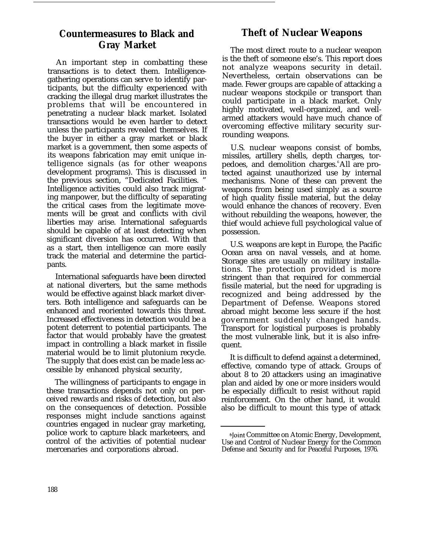## **Countermeasures to Black and Gray Market**

An important step in combatting these transactions is to detect them. Intelligencegathering operations can serve to identify participants, but the difficulty experienced with cracking the illegal drug market illustrates the problems that will be encountered in penetrating a nuclear black market. Isolated transactions would be even harder to detect unless the participants revealed themselves. If the buyer in either a gray market or black market is a government, then some aspects of its weapons fabrication may emit unique intelligence signals (as for other weapons development programs). This is discussed in the previous section, "Dedicated Facilities. " Intelligence activities could also track migrating manpower, but the difficulty of separating the critical cases from the legitimate movements will be great and conflicts with civil liberties may arise. International safeguards should be capable of at least detecting when significant diversion has occurred. With that as a start, then intelligence can more easily track the material and determine the participants.

International safeguards have been directed at national diverters, but the same methods would be effective against black market diverters. Both intelligence and safeguards can be enhanced and reoriented towards this threat. Increased effectiveness in detection would be a potent deterrent to potential participants. The factor that would probably have the greatest impact in controlling a black market in fissile material would be to limit plutonium recycle. The supply that does exist can be made less accessible by enhanced physical security,

The willingness of participants to engage in these transactions depends not only on perceived rewards and risks of detection, but also on the consequences of detection. Possible responses might include sanctions against countries engaged in nuclear gray marketing, police work to capture black marketeers, and control of the activities of potential nuclear mercenaries and corporations abroad.

## **Theft of Nuclear Weapons**

The most direct route to a nuclear weapon is the theft of someone else's. This report does not analyze weapons security in detail. Nevertheless, certain observations can be made. Fewer groups are capable of attacking a nuclear weapons stockpile or transport than could participate in a black market. Only highly motivated, well-organized, and wellarmed attackers would have much chance of overcoming effective military security surrounding weapons.

U.S. nuclear weapons consist of bombs, missiles, artillery shells, depth charges, torpedoes, and demolition charges.<sup>6</sup> All are protected against unauthorized use by internal mechanisms. None of these can prevent the weapons from being used simply as a source of high quality fissile material, but the delay would enhance the chances of recovery. Even without rebuilding the weapons, however, the thief would achieve full psychological value of possession.

U.S. weapons are kept in Europe, the Pacific Ocean area on naval vessels, and at home. Storage sites are usually on military installations. The protection provided is more stringent than that required for commercial fissile material, but the need for upgrading is recognized and being addressed by the Department of Defense. Weapons stored abroad might become less secure if the host government suddenly changed hands. Transport for logistical purposes is probably the most vulnerable link, but it is also infrequent.

It is difficult to defend against a determined, effective, comando type of attack. Groups of about 8 to 20 attackers using an imaginative plan and aided by one or more insiders would be especially difficult to resist without rapid reinforcement. On the other hand, it would also be difficult to mount this type of attack

bJoint Committee on Atomic Energy, Development, Use and Control of Nuclear Energy for the Common Defense and Security and for Peaceful Purposes, 1976.